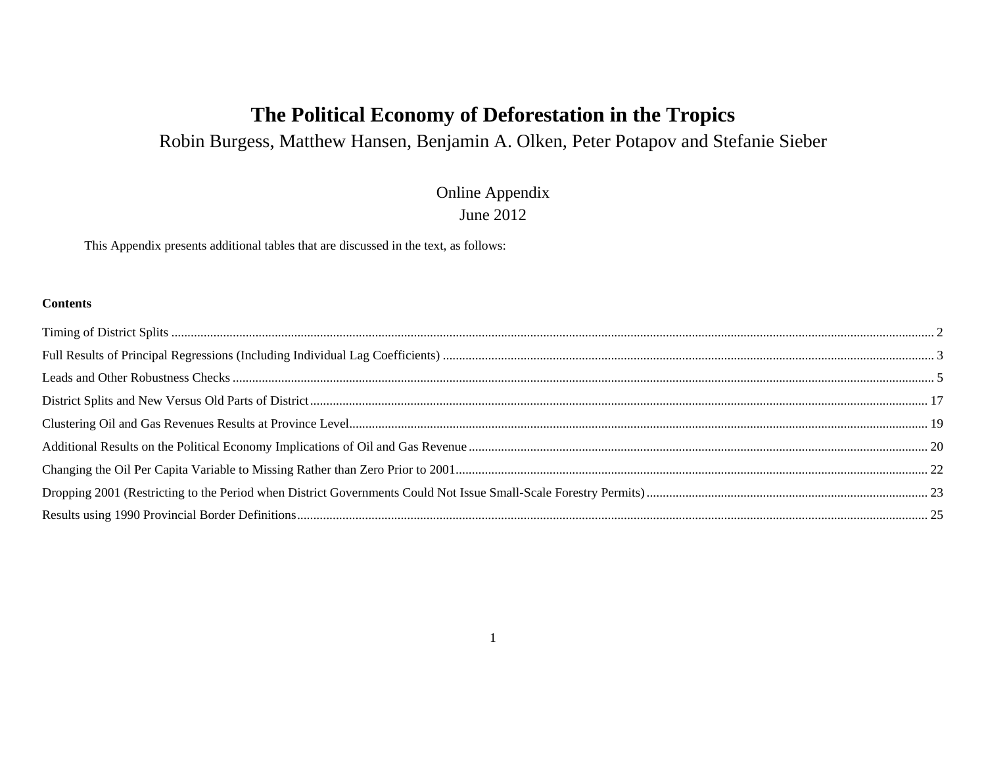# **The Political Economy of Deforestation in the Tropics**

Robin Burgess, Matthew Hansen, Benjamin A. Olken, Peter Potapov and Stefanie Sieber

# Online Appendix June 2012

This Appendix presents additional tables that are discussed in the text, as follows:

#### **Contents**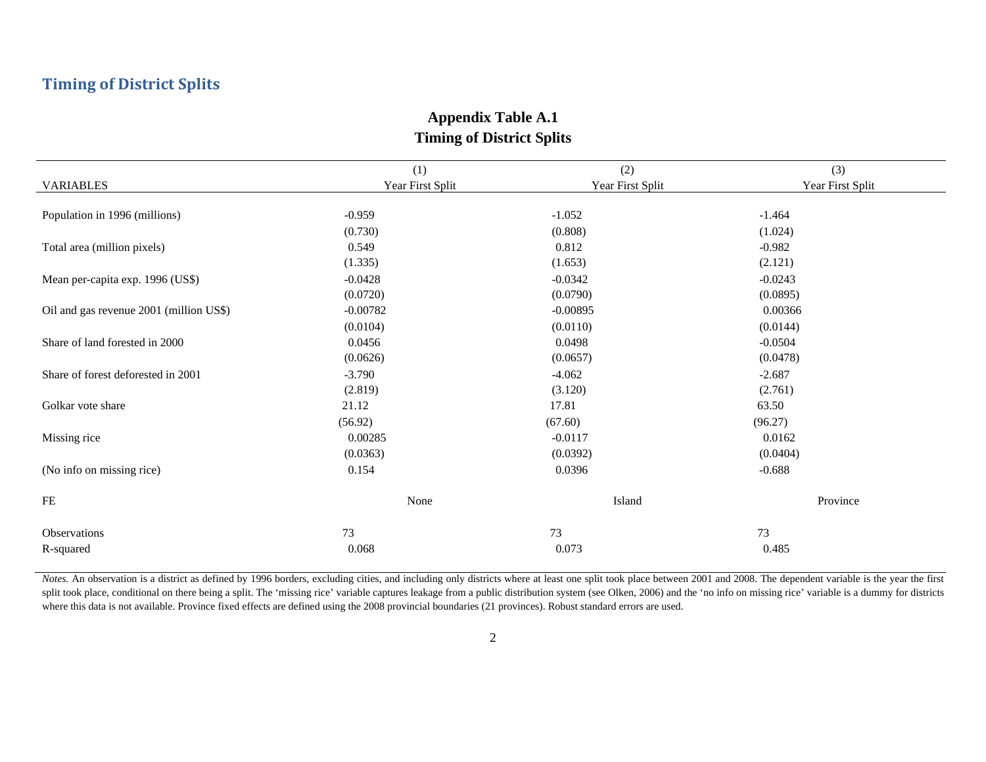# **Timing of District Splits**

|                                         | (1)              | (2)              | (3)              |
|-----------------------------------------|------------------|------------------|------------------|
| <b>VARIABLES</b>                        | Year First Split | Year First Split | Year First Split |
|                                         |                  |                  |                  |
| Population in 1996 (millions)           | $-0.959$         | $-1.052$         | $-1.464$         |
|                                         | (0.730)          | (0.808)          | (1.024)          |
| Total area (million pixels)             | 0.549            | 0.812            | $-0.982$         |
|                                         | (1.335)          | (1.653)          | (2.121)          |
| Mean per-capita exp. 1996 (US\$)        | $-0.0428$        | $-0.0342$        | $-0.0243$        |
|                                         | (0.0720)         | (0.0790)         | (0.0895)         |
| Oil and gas revenue 2001 (million US\$) | $-0.00782$       | $-0.00895$       | 0.00366          |
|                                         | (0.0104)         | (0.0110)         | (0.0144)         |
| Share of land forested in 2000          | 0.0456           | 0.0498           | $-0.0504$        |
|                                         | (0.0626)         | (0.0657)         | (0.0478)         |
| Share of forest deforested in 2001      | $-3.790$         | $-4.062$         | $-2.687$         |
|                                         | (2.819)          | (3.120)          | (2.761)          |
| Golkar vote share                       | 21.12            | 17.81            | 63.50            |
|                                         | (56.92)          | (67.60)          | (96.27)          |
| Missing rice                            | 0.00285          | $-0.0117$        | 0.0162           |
|                                         | (0.0363)         | (0.0392)         | (0.0404)         |
| (No info on missing rice)               | 0.154            | 0.0396           | $-0.688$         |
| FE                                      | None             | Island           | Province         |
|                                         |                  |                  |                  |
| Observations                            | 73               | 73               | 73               |
| R-squared                               | 0.068            | 0.073            | 0.485            |

### **Appendix Table A.1 Timing of District Splits**

*Notes*. An observation is a district as defined by 1996 borders, excluding cities, and including only districts where at least one split took place between 2001 and 2008. The dependent variable is the year the first split took place, conditional on there being a split. The 'missing rice' variable captures leakage from a public distribution system (see Olken, 2006) and the 'no info on missing rice' variable is a dummy for districts where this data is not available. Province fixed effects are defined using the 2008 provincial boundaries (21 provinces). Robust standard errors are used.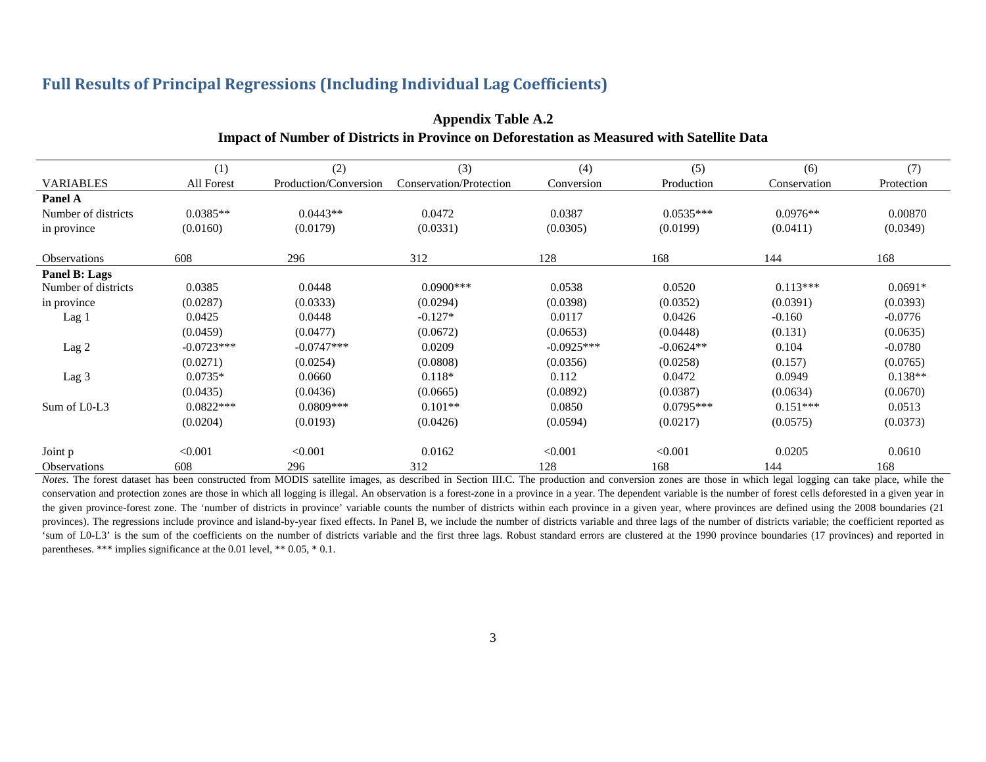#### **Full Results of Principal Regressions (Including Individual Lag Coefficients)**

|                     | (1)          | (2)                   | (3)                     | (4)          | (5)         | (6)          | (7)        |
|---------------------|--------------|-----------------------|-------------------------|--------------|-------------|--------------|------------|
| <b>VARIABLES</b>    | All Forest   | Production/Conversion | Conservation/Protection | Conversion   | Production  | Conservation | Protection |
| Panel A             |              |                       |                         |              |             |              |            |
| Number of districts | $0.0385**$   | $0.0443**$            | 0.0472                  | 0.0387       | $0.0535***$ | $0.0976**$   | 0.00870    |
| in province         | (0.0160)     | (0.0179)              | (0.0331)                | (0.0305)     | (0.0199)    | (0.0411)     | (0.0349)   |
| <b>Observations</b> | 608          | 296                   | 312                     | 128          | 168         | 144          | 168        |
| Panel B: Lags       |              |                       |                         |              |             |              |            |
| Number of districts | 0.0385       | 0.0448                | $0.0900$ ***            | 0.0538       | 0.0520      | $0.113***$   | $0.0691*$  |
| in province         | (0.0287)     | (0.0333)              | (0.0294)                | (0.0398)     | (0.0352)    | (0.0391)     | (0.0393)   |
| Lag 1               | 0.0425       | 0.0448                | $-0.127*$               | 0.0117       | 0.0426      | $-0.160$     | $-0.0776$  |
|                     | (0.0459)     | (0.0477)              | (0.0672)                | (0.0653)     | (0.0448)    | (0.131)      | (0.0635)   |
| Lag 2               | $-0.0723***$ | $-0.0747***$          | 0.0209                  | $-0.0925***$ | $-0.0624**$ | 0.104        | $-0.0780$  |
|                     | (0.0271)     | (0.0254)              | (0.0808)                | (0.0356)     | (0.0258)    | (0.157)      | (0.0765)   |
| Lag 3               | $0.0735*$    | 0.0660                | $0.118*$                | 0.112        | 0.0472      | 0.0949       | $0.138**$  |
|                     | (0.0435)     | (0.0436)              | (0.0665)                | (0.0892)     | (0.0387)    | (0.0634)     | (0.0670)   |
| Sum of L0-L3        | $0.0822***$  | $0.0809***$           | $0.101**$               | 0.0850       | $0.0795***$ | $0.151***$   | 0.0513     |
|                     | (0.0204)     | (0.0193)              | (0.0426)                | (0.0594)     | (0.0217)    | (0.0575)     | (0.0373)   |
| Joint p             | < 0.001      | < 0.001               | 0.0162                  | < 0.001      | < 0.001     | 0.0205       | 0.0610     |
| Observations        | 608          | 296                   | 312                     | 128          | 168         | 144          | 168        |

### **Appendix Table A.2 Impact of Number of Districts in Province on Deforestation as Measured with Satellite Data**

Notes. The forest dataset has been constructed from MODIS satellite images, as described in Section III.C. The production and conversion zones are those in which legal logging can take place, while the conservation and protection zones are those in which all logging is illegal. An observation is a forest-zone in a province in a year. The dependent variable is the number of forest cells deforested in a given year in the given province-forest zone. The 'number of districts in province' variable counts the number of districts within each province in a given year, where provinces are defined using the 2008 boundaries (21) provinces). The regressions include province and island-by-year fixed effects. In Panel B, we include the number of districts variable and three lags of the number of districts variable; the coefficient reported as 'sum of L0-L3' is the sum of the coefficients on the number of districts variable and the first three lags. Robust standard errors are clustered at the 1990 province boundaries (17 provinces) and reported in parentheses. \*\*\* implies significance at the 0.01 level, \*\* 0.05, \* 0.1.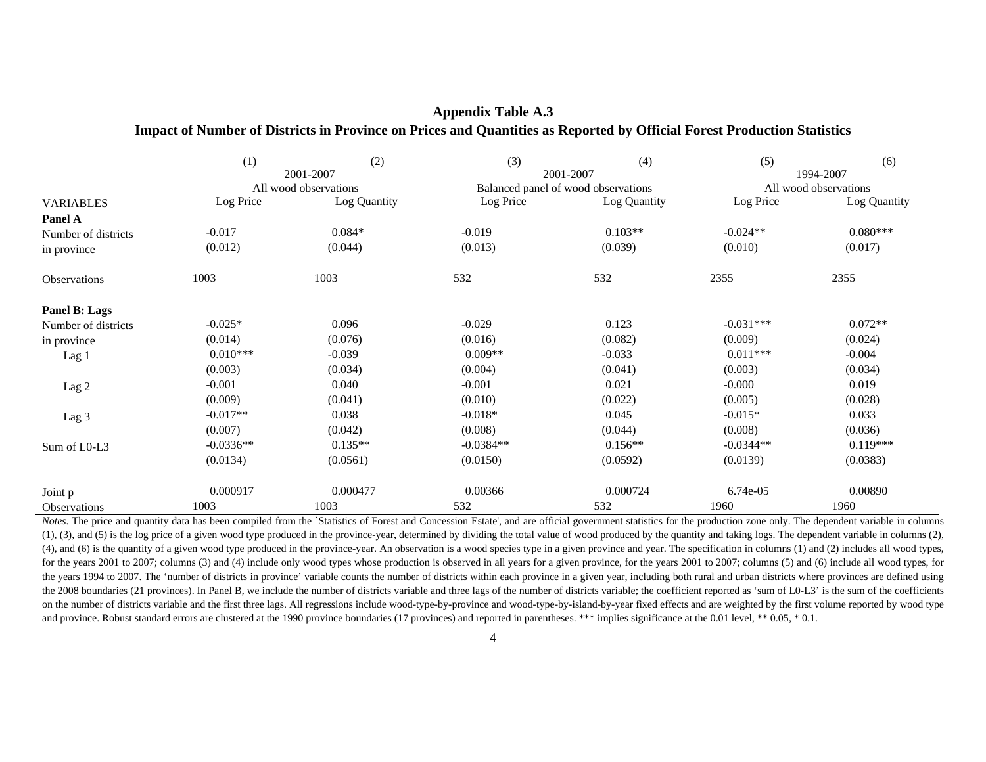|                     | (1)         | (2)                   | (3)         | (4)                                 | (5)                   | (6)          |  |
|---------------------|-------------|-----------------------|-------------|-------------------------------------|-----------------------|--------------|--|
|                     |             | 2001-2007             |             | 2001-2007                           |                       | 1994-2007    |  |
|                     |             | All wood observations |             | Balanced panel of wood observations | All wood observations |              |  |
| <b>VARIABLES</b>    | Log Price   | Log Quantity          | Log Price   | Log Quantity                        | Log Price             | Log Quantity |  |
| Panel A             |             |                       |             |                                     |                       |              |  |
| Number of districts | $-0.017$    | $0.084*$              | $-0.019$    | $0.103**$                           | $-0.024**$            | $0.080***$   |  |
| in province         | (0.012)     | (0.044)               | (0.013)     | (0.039)                             | (0.010)               | (0.017)      |  |
| Observations        | 1003        | 1003                  | 532         | 532                                 | 2355                  | 2355         |  |
| Panel B: Lags       |             |                       |             |                                     |                       |              |  |
| Number of districts | $-0.025*$   | 0.096                 | $-0.029$    | 0.123                               | $-0.031***$           | $0.072**$    |  |
| in province         | (0.014)     | (0.076)               | (0.016)     | (0.082)                             | (0.009)               | (0.024)      |  |
| Lag 1               | $0.010***$  | $-0.039$              | $0.009**$   | $-0.033$                            | $0.011***$            | $-0.004$     |  |
|                     | (0.003)     | (0.034)               | (0.004)     | (0.041)                             | (0.003)               | (0.034)      |  |
| Lag 2               | $-0.001$    | 0.040                 | $-0.001$    | 0.021                               | $-0.000$              | 0.019        |  |
|                     | (0.009)     | (0.041)               | (0.010)     | (0.022)                             | (0.005)               | (0.028)      |  |
| Lag 3               | $-0.017**$  | 0.038                 | $-0.018*$   | 0.045                               | $-0.015*$             | 0.033        |  |
|                     | (0.007)     | (0.042)               | (0.008)     | (0.044)                             | (0.008)               | (0.036)      |  |
| Sum of L0-L3        | $-0.0336**$ | $0.135**$             | $-0.0384**$ | $0.156**$                           | $-0.0344**$           | $0.119***$   |  |
|                     | (0.0134)    | (0.0561)              | (0.0150)    | (0.0592)                            | (0.0139)              | (0.0383)     |  |
| Joint p             | 0.000917    | 0.000477              | 0.00366     | 0.000724                            | 6.74e-05              | 0.00890      |  |
| <b>Observations</b> | 1003        | 1003                  | 532         | 532                                 | 1960                  | 1960         |  |

#### **Appendix Table A.3 Impact of Number of Districts in Province on Prices and Quantities as Reported by Official Forest Production Statistics**

*Notes*. The price and quantity data has been compiled from the `Statistics of Forest and Concession Estate', and are official government statistics for the production zone only. The dependent variable in columns (1), (3), and (5) is the log price of a given wood type produced in the province-year, determined by dividing the total value of wood produced by the quantity and taking logs. The dependent variable in columns (2), (4), and (6) is the quantity of a given wood type produced in the province-year. An observation is a wood species type in a given province and year. The specification in columns (1) and (2) includes all wood types, for the years 2001 to 2007; columns (3) and (4) include only wood types whose production is observed in all years for a given province, for the years 2001 to 2007; columns (5) and (6) include all wood types, for the years 1994 to 2007. The 'number of districts in province' variable counts the number of districts within each province in a given year, including both rural and urban districts where provinces are defined using the 2008 boundaries (21 provinces). In Panel B, we include the number of districts variable and three lags of the number of districts variable; the coefficient reported as 'sum of L0-L3' is the sum of the coefficients on the number of districts variable and the first three lags. All regressions include wood-type-by-province and wood-type-by-island-by-year fixed effects and are weighted by the first volume reported by wood type and province. Robust standard errors are clustered at the 1990 province boundaries (17 provinces) and reported in parentheses. \*\*\* implies significance at the 0.01 level, \*\* 0.05, \* 0.1.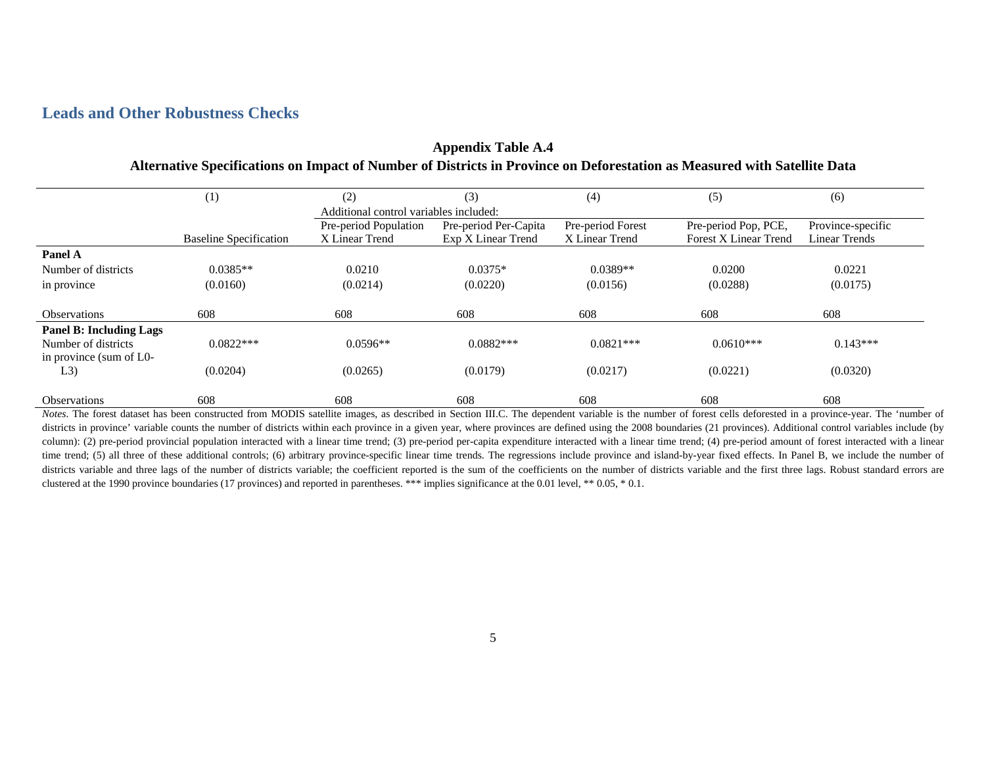### **Leads and Other Robustness Checks**

|                                | (1)                           | (2)                                    | (3)                   | (4)               | (5)                          | (6)                  |
|--------------------------------|-------------------------------|----------------------------------------|-----------------------|-------------------|------------------------------|----------------------|
|                                |                               | Additional control variables included: |                       |                   |                              |                      |
|                                |                               | Pre-period Population                  | Pre-period Per-Capita | Pre-period Forest | Pre-period Pop, PCE,         | Province-specific    |
|                                | <b>Baseline Specification</b> | X Linear Trend                         | Exp X Linear Trend    | X Linear Trend    | <b>Forest X Linear Trend</b> | <b>Linear Trends</b> |
| <b>Panel A</b>                 |                               |                                        |                       |                   |                              |                      |
| Number of districts            | $0.0385**$                    | 0.0210                                 | $0.0375*$             | $0.0389**$        | 0.0200                       | 0.0221               |
| in province                    | (0.0160)                      | (0.0214)                               | (0.0220)              | (0.0156)          | (0.0288)                     | (0.0175)             |
| <b>Observations</b>            | 608                           | 608                                    | 608                   | 608               | 608                          | 608                  |
| <b>Panel B: Including Lags</b> |                               |                                        |                       |                   |                              |                      |
| Number of districts            | $0.0822***$                   | $0.0596**$                             | $0.0882***$           | $0.0821***$       | $0.0610***$                  | $0.143***$           |
| in province (sum of L0-        |                               |                                        |                       |                   |                              |                      |
| L3)                            | (0.0204)                      | (0.0265)                               | (0.0179)              | (0.0217)          | (0.0221)                     | (0.0320)             |
|                                |                               |                                        |                       |                   |                              |                      |
| <b>Observations</b>            | 608                           | 608                                    | 608                   | 608               | 608                          | 608                  |

#### **Appendix Table A.4 Alternative Specifications on Impact of Number of Districts in Province on Deforestation as Measured with Satellite Data**

*Notes*. The forest dataset has been constructed from MODIS satellite images, as described in Section III.C. The dependent variable is the number of forest cells deforested in a province-year. The 'number of districts in province' variable counts the number of districts within each province in a given year, where provinces are defined using the 2008 boundaries (21 provinces). Additional control variables include (by column): (2) pre-period provincial population interacted with a linear time trend; (3) pre-period per-capita expenditure interacted with a linear time trend; (4) pre-period amount of forest interacted with a linear time trend; (5) all three of these additional controls; (6) arbitrary province-specific linear time trends. The regressions include province and island-by-year fixed effects. In Panel B, we include the number of districts variable and three lags of the number of districts variable; the coefficient reported is the sum of the coefficients on the number of districts variable and the first three lags. Robust standard errors are clustered at the 1990 province boundaries (17 provinces) and reported in parentheses. \*\*\* implies significance at the 0.01 level, \*\* 0.05, \* 0.1.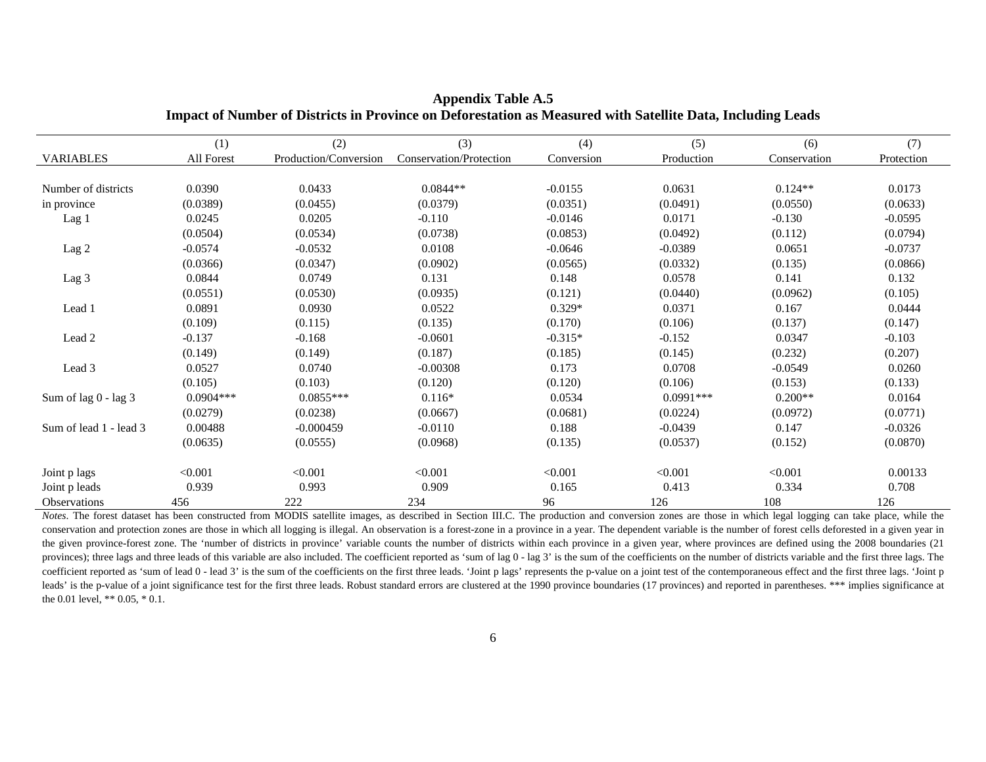|                        | (1)         | (2)                   | (3)                     | (4)        | (5)         | (6)          | (7)        |
|------------------------|-------------|-----------------------|-------------------------|------------|-------------|--------------|------------|
| <b>VARIABLES</b>       | All Forest  | Production/Conversion | Conservation/Protection | Conversion | Production  | Conservation | Protection |
|                        |             |                       |                         |            |             |              |            |
| Number of districts    | 0.0390      | 0.0433                | $0.0844**$              | $-0.0155$  | 0.0631      | $0.124**$    | 0.0173     |
| in province            | (0.0389)    | (0.0455)              | (0.0379)                | (0.0351)   | (0.0491)    | (0.0550)     | (0.0633)   |
| Lag 1                  | 0.0245      | 0.0205                | $-0.110$                | $-0.0146$  | 0.0171      | $-0.130$     | $-0.0595$  |
|                        | (0.0504)    | (0.0534)              | (0.0738)                | (0.0853)   | (0.0492)    | (0.112)      | (0.0794)   |
| Lag 2                  | $-0.0574$   | $-0.0532$             | 0.0108                  | $-0.0646$  | $-0.0389$   | 0.0651       | $-0.0737$  |
|                        | (0.0366)    | (0.0347)              | (0.0902)                | (0.0565)   | (0.0332)    | (0.135)      | (0.0866)   |
| Lag 3                  | 0.0844      | 0.0749                | 0.131                   | 0.148      | 0.0578      | 0.141        | 0.132      |
|                        | (0.0551)    | (0.0530)              | (0.0935)                | (0.121)    | (0.0440)    | (0.0962)     | (0.105)    |
| Lead 1                 | 0.0891      | 0.0930                | 0.0522                  | $0.329*$   | 0.0371      | 0.167        | 0.0444     |
|                        | (0.109)     | (0.115)               | (0.135)                 | (0.170)    | (0.106)     | (0.137)      | (0.147)    |
| Lead 2                 | $-0.137$    | $-0.168$              | $-0.0601$               | $-0.315*$  | $-0.152$    | 0.0347       | $-0.103$   |
|                        | (0.149)     | (0.149)               | (0.187)                 | (0.185)    | (0.145)     | (0.232)      | (0.207)    |
| Lead 3                 | 0.0527      | 0.0740                | $-0.00308$              | 0.173      | 0.0708      | $-0.0549$    | 0.0260     |
|                        | (0.105)     | (0.103)               | (0.120)                 | (0.120)    | (0.106)     | (0.153)      | (0.133)    |
| Sum of lag 0 - lag 3   | $0.0904***$ | $0.0855***$           | $0.116*$                | 0.0534     | $0.0991***$ | $0.200**$    | 0.0164     |
|                        | (0.0279)    | (0.0238)              | (0.0667)                | (0.0681)   | (0.0224)    | (0.0972)     | (0.0771)   |
| Sum of lead 1 - lead 3 | 0.00488     | $-0.000459$           | $-0.0110$               | 0.188      | $-0.0439$   | 0.147        | $-0.0326$  |
|                        | (0.0635)    | (0.0555)              | (0.0968)                | (0.135)    | (0.0537)    | (0.152)      | (0.0870)   |
| Joint p lags           | < 0.001     | < 0.001               | < 0.001                 | < 0.001    | < 0.001     | < 0.001      | 0.00133    |
| Joint p leads          | 0.939       | 0.993                 | 0.909                   | 0.165      | 0.413       | 0.334        | 0.708      |
| <b>Observations</b>    | 456         | 222                   | 234                     | 96         | 126         | 108          | 126        |

**Appendix Table A.5 Impact of Number of Districts in Province on Deforestation as Measured with Satellite Data, Including Leads** 

 *Notes*. The forest dataset has been constructed from MODIS satellite images, as described in Section III.C. The production and conversion zones are those in which legal logging can take place, while the conservation and protection zones are those in which all logging is illegal. An observation is a forest-zone in a province in a year. The dependent variable is the number of forest cells deforested in a given year in the given province-forest zone. The 'number of districts in province' variable counts the number of districts within each province in a given year, where provinces are defined using the 2008 boundaries (21 provinces); three lags and three leads of this variable are also included. The coefficient reported as 'sum of lag 0 - lag 3' is the sum of the coefficients on the number of districts variable and the first three lags. The coefficient reported as 'sum of lead 0 - lead 3' is the sum of the coefficients on the first three leads. 'Joint p lags' represents the p-value on a joint test of the contemporaneous effect and the first three lags. 'Joint leads' is the p-value of a joint significance test for the first three leads. Robust standard errors are clustered at the 1990 province boundaries (17 provinces) and reported in parentheses. \*\*\* implies significance at the 0.01 level, \*\* 0.05, \* 0.1.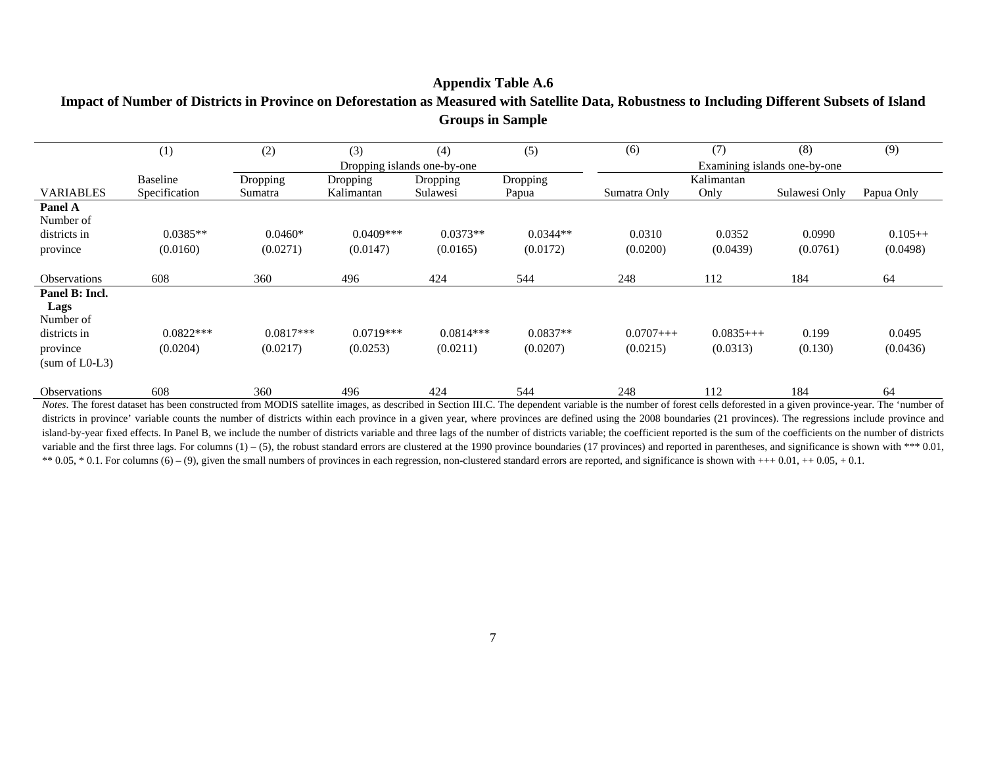### **Appendix Table A.6 Impact of Number of Districts in Province on Deforestation as Measured with Satellite Data, Robustness to Including Different Subsets of Island Groups in Sample**

|                                                                                     | (1)                     | (2)                     | (3)                     | (4)                         | (5)                    | (6)                    | (7)                    | (8)                          | (9)                   |
|-------------------------------------------------------------------------------------|-------------------------|-------------------------|-------------------------|-----------------------------|------------------------|------------------------|------------------------|------------------------------|-----------------------|
|                                                                                     |                         |                         |                         | Dropping islands one-by-one |                        |                        |                        | Examining islands one-by-one |                       |
|                                                                                     | <b>Baseline</b>         | Dropping                | Dropping                | Dropping                    | Dropping               |                        | Kalimantan             |                              |                       |
| <b>VARIABLES</b>                                                                    | Specification           | Sumatra                 | Kalimantan              | Sulawesi                    | Papua                  | Sumatra Only           | Only                   | Sulawesi Only                | Papua Only            |
| Panel A<br>Number of<br>districts in<br>province                                    | $0.0385**$<br>(0.0160)  | $0.0460*$<br>(0.0271)   | $0.0409***$<br>(0.0147) | $0.0373**$<br>(0.0165)      | $0.0344**$<br>(0.0172) | 0.0310<br>(0.0200)     | 0.0352<br>(0.0439)     | 0.0990<br>(0.0761)           | $0.105++$<br>(0.0498) |
| <b>Observations</b>                                                                 | 608                     | 360                     | 496                     | 424                         | 544                    | 248                    | 112                    | 184                          | 64                    |
| Panel B: Incl.<br>Lags<br>Number of<br>districts in<br>province<br>$(sum of L0-L3)$ | $0.0822***$<br>(0.0204) | $0.0817***$<br>(0.0217) | $0.0719***$<br>(0.0253) | $0.0814***$<br>(0.0211)     | $0.0837**$<br>(0.0207) | $0.0707++$<br>(0.0215) | $0.0835++$<br>(0.0313) | 0.199<br>(0.130)             | 0.0495<br>(0.0436)    |
| <b>Observations</b>                                                                 | 608                     | 360                     | 496                     | 424                         | 544                    | 248                    | 112                    | 184                          | 64                    |

*Notes*. The forest dataset has been constructed from MODIS satellite images, as described in Section III.C. The dependent variable is the number of forest cells deforested in a given province-year. The 'number of districts in province' variable counts the number of districts within each province in a given year, where provinces are defined using the 2008 boundaries (21 provinces). The regressions include province and island-by-year fixed effects. In Panel B, we include the number of districts variable and three lags of the number of districts variable; the coefficient reported is the sum of the coefficients on the number of districts variable and the first three lags. For columns  $(1) - (5)$ , the robust standard errors are clustered at the 1990 province boundaries  $(17$  provinces) and reported in parentheses, and significance is shown with \*\*\* 0.01, \*\* 0.05, \* 0.1. For columns  $(6) - (9)$ , given the small numbers of provinces in each regression, non-clustered standard errors are reported, and significance is shown with +++ 0.01, ++ 0.05, +0.1.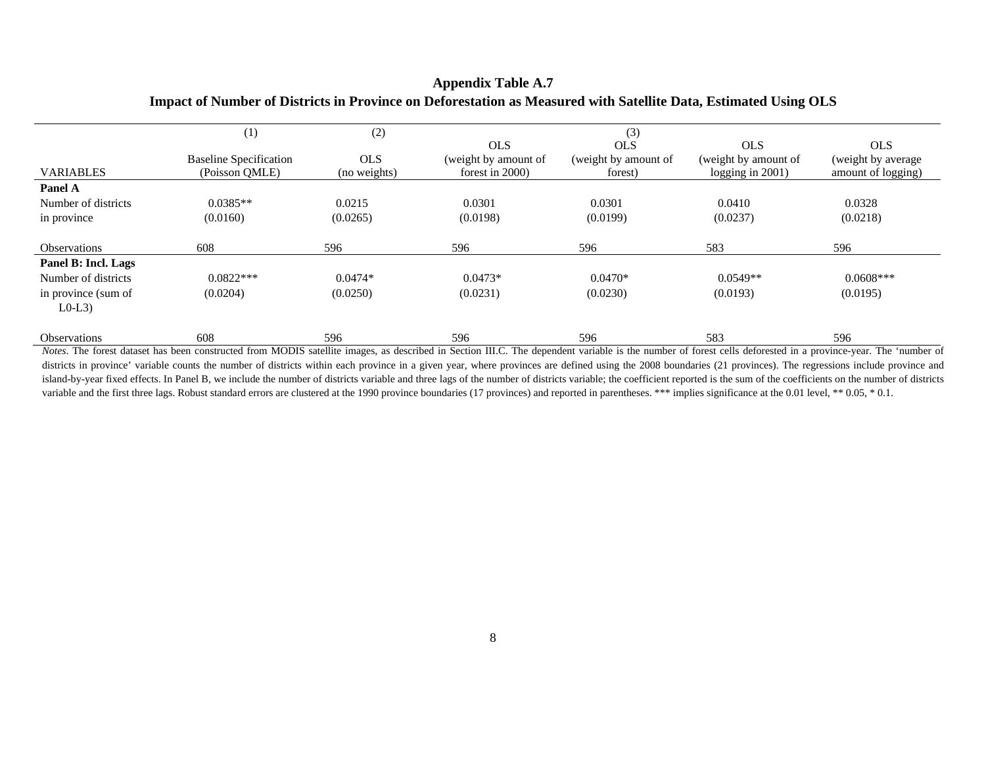#### **Appendix Table A.7 Impact of Number of Districts in Province on Deforestation as Measured with Satellite Data, Estimated Using OLS**

|                     | (1)                           | (2)          |                      | (3)                  |                      |                    |
|---------------------|-------------------------------|--------------|----------------------|----------------------|----------------------|--------------------|
|                     |                               |              | <b>OLS</b>           | <b>OLS</b>           | <b>OLS</b>           | <b>OLS</b>         |
|                     | <b>Baseline Specification</b> | <b>OLS</b>   | (weight by amount of | (weight by amount of | (weight by amount of | (weight by average |
| <b>VARIABLES</b>    | (Poisson OMLE)                | (no weights) | forest in $2000$ )   | forest)              | logging in $2001$ )  | amount of logging) |
| Panel A             |                               |              |                      |                      |                      |                    |
| Number of districts | $0.0385**$                    | 0.0215       | 0.0301               | 0.0301               | 0.0410               | 0.0328             |
| in province         | (0.0160)                      | (0.0265)     | (0.0198)             | (0.0199)             | (0.0237)             | (0.0218)           |
| <b>Observations</b> | 608                           | 596          | 596                  | 596                  | 583                  | 596                |
| Panel B: Incl. Lags |                               |              |                      |                      |                      |                    |
| Number of districts | $0.0822***$                   | $0.0474*$    | $0.0473*$            | $0.0470*$            | $0.0549**$           | $0.0608***$        |
| in province (sum of | (0.0204)                      | (0.0250)     | (0.0231)             | (0.0230)             | (0.0193)             | (0.0195)           |
| $L0-L3$             |                               |              |                      |                      |                      |                    |
| <b>Observations</b> | 608                           | 596          | 596                  | 596                  | 583                  | 596                |

*Notes*. The forest dataset has been constructed from MODIS satellite images, as described in Section III.C. The dependent variable is the number of forest cells deforested in a province-year. The 'number of districts in province' variable counts the number of districts within each province in a given year, where provinces are defined using the 2008 boundaries (21 provinces). The regressions include province and island-by-year fixed effects. In Panel B, we include the number of districts variable and three lags of the number of districts variable; the coefficient reported is the sum of the coefficients on the number of districts variable and the first three lags. Robust standard errors are clustered at the 1990 province boundaries (17 provinces) and reported in parentheses. \*\*\* implies significance at the 0.01 level, \*\* 0.05, \* 0.1.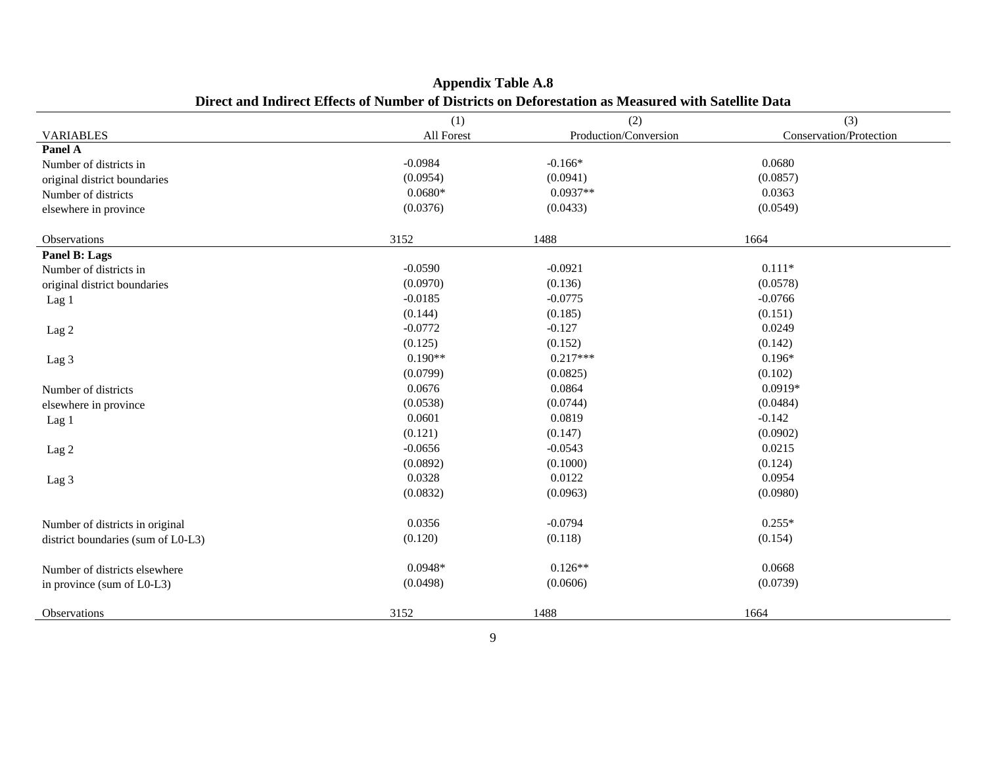|                                    | (1)        | (2)                   | (3)                     |
|------------------------------------|------------|-----------------------|-------------------------|
| <b>VARIABLES</b>                   | All Forest | Production/Conversion | Conservation/Protection |
| Panel A                            |            |                       |                         |
| Number of districts in             | $-0.0984$  | $-0.166*$             | 0.0680                  |
| original district boundaries       | (0.0954)   | (0.0941)              | (0.0857)                |
| Number of districts                | $0.0680*$  | $0.0937**$            | 0.0363                  |
| elsewhere in province              | (0.0376)   | (0.0433)              | (0.0549)                |
| Observations                       | 3152       | 1488                  | 1664                    |
| Panel B: Lags                      |            |                       |                         |
| Number of districts in             | $-0.0590$  | $-0.0921$             | $0.111*$                |
| original district boundaries       | (0.0970)   | (0.136)               | (0.0578)                |
| Lag 1                              | $-0.0185$  | $-0.0775$             | $-0.0766$               |
|                                    | (0.144)    | (0.185)               | (0.151)                 |
| Lag <sub>2</sub>                   | $-0.0772$  | $-0.127$              | 0.0249                  |
|                                    | (0.125)    | (0.152)               | (0.142)                 |
| Lag 3                              | $0.190**$  | $0.217***$            | $0.196*$                |
|                                    | (0.0799)   | (0.0825)              | (0.102)                 |
| Number of districts                | 0.0676     | 0.0864                | $0.0919*$               |
| elsewhere in province              | (0.0538)   | (0.0744)              | (0.0484)                |
| Lag 1                              | 0.0601     | 0.0819                | $-0.142$                |
|                                    | (0.121)    | (0.147)               | (0.0902)                |
| Lag <sub>2</sub>                   | $-0.0656$  | $-0.0543$             | 0.0215                  |
|                                    | (0.0892)   | (0.1000)              | (0.124)                 |
| Lag 3                              | 0.0328     | 0.0122                | 0.0954                  |
|                                    | (0.0832)   | (0.0963)              | (0.0980)                |
|                                    |            |                       |                         |
| Number of districts in original    | 0.0356     | $-0.0794$             | $0.255*$                |
| district boundaries (sum of L0-L3) | (0.120)    | (0.118)               | (0.154)                 |
| Number of districts elsewhere      | $0.0948*$  | $0.126**$             | 0.0668                  |
| in province (sum of L0-L3)         | (0.0498)   | (0.0606)              | (0.0739)                |
|                                    |            |                       |                         |
| Observations                       | 3152       | 1488                  | 1664                    |

**Appendix Table A.8 Direct and Indirect Effects of Number of Districts on Deforestation as Measured with Satellite Data**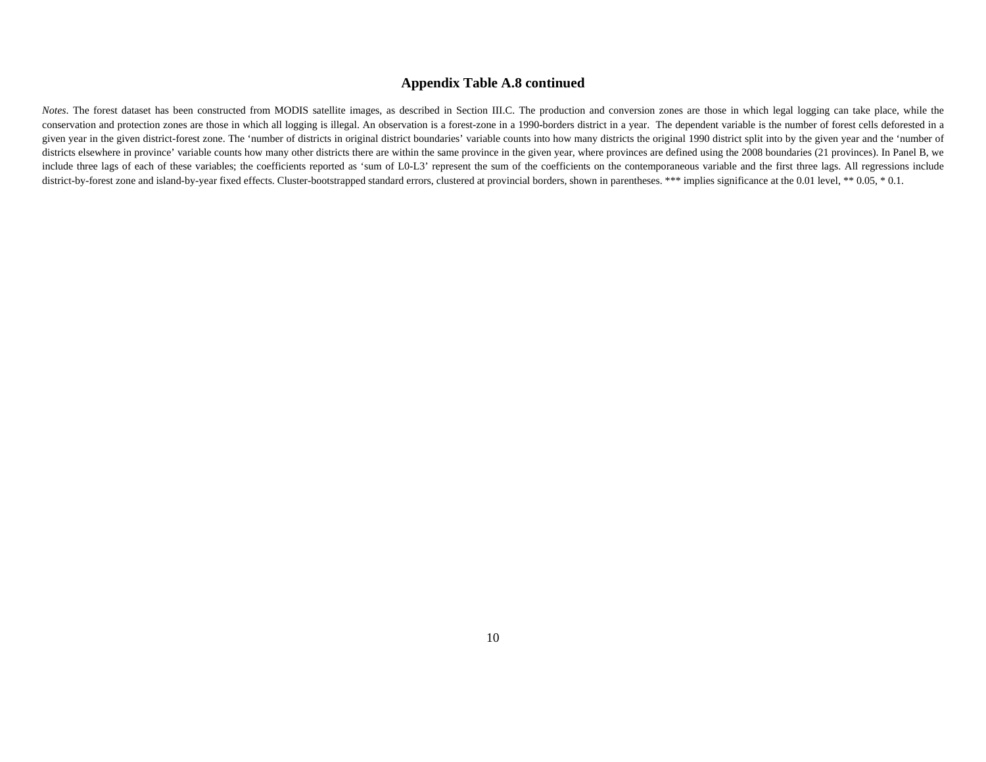#### **Appendix Table A.8 continued**

*Notes*. The forest dataset has been constructed from MODIS satellite images, as described in Section III.C. The production and conversion zones are those in which legal logging can take place, while the conservation and protection zones are those in which all logging is illegal. An observation is a forest-zone in a 1990-borders district in a year. The dependent variable is the number of forest cells deforested in a given year in the given district-forest zone. The 'number of districts in original district boundaries' variable counts into how many districts the original 1990 district split into by the given year and the 'number of districts elsewhere in province' variable counts how many other districts there are within the same province in the given year, where provinces are defined using the 2008 boundaries (21 provinces). In Panel B, we include three lags of each of these variables; the coefficients reported as 'sum of L0-L3' represent the sum of the coefficients on the contemporaneous variable and the first three lags. All regressions include district-by-forest zone and island-by-year fixed effects. Cluster-bootstrapped standard errors, clustered at provincial borders, shown in parentheses. \*\*\* implies significance at the 0.01 level, \*\* 0.05, \* 0.1.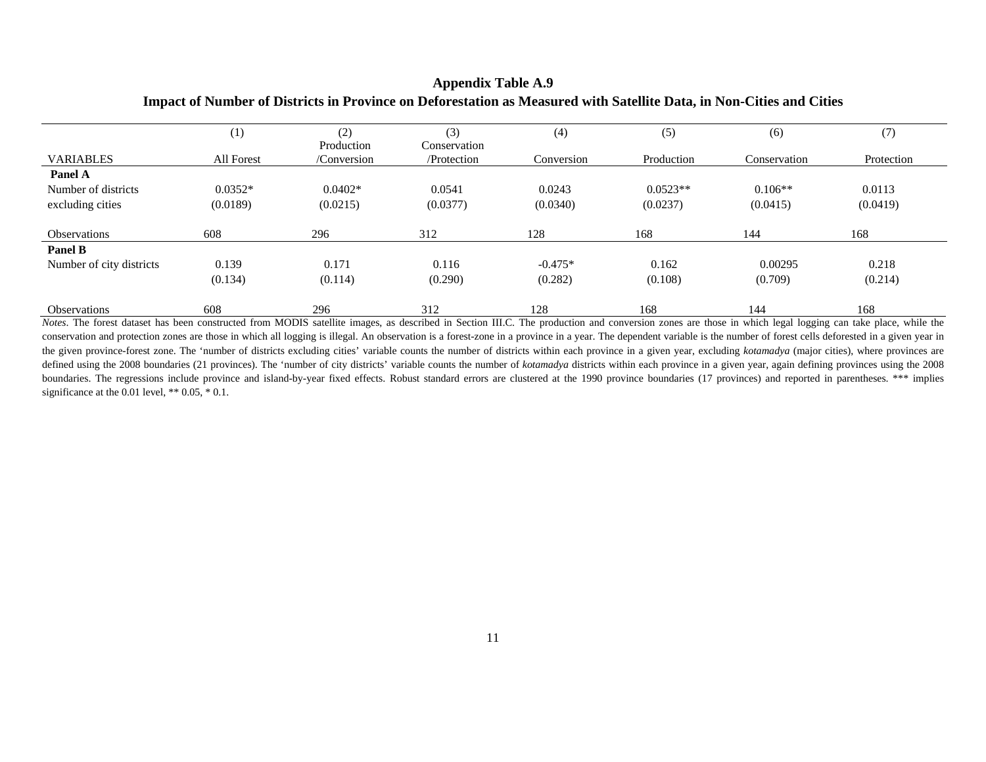#### **Appendix Table A.9 Impact of Number of Districts in Province on Deforestation as Measured with Satellite Data, in Non-Cities and Cities**

|                          | (1)        | (2)                       | (3)                         | (4)        | (5)        | (6)          | (7)        |
|--------------------------|------------|---------------------------|-----------------------------|------------|------------|--------------|------------|
| <b>VARIABLES</b>         | All Forest | Production<br>/Conversion | Conservation<br>/Protection | Conversion | Production | Conservation | Protection |
| Panel A                  |            |                           |                             |            |            |              |            |
| Number of districts      | $0.0352*$  | $0.0402*$                 | 0.0541                      | 0.0243     | $0.0523**$ | $0.106**$    | 0.0113     |
| excluding cities         | (0.0189)   | (0.0215)                  | (0.0377)                    | (0.0340)   | (0.0237)   | (0.0415)     | (0.0419)   |
| <b>Observations</b>      | 608        | 296                       | 312                         | 128        | 168        | 144          | 168        |
| <b>Panel B</b>           |            |                           |                             |            |            |              |            |
| Number of city districts | 0.139      | 0.171                     | 0.116                       | $-0.475*$  | 0.162      | 0.00295      | 0.218      |
|                          | (0.134)    | (0.114)                   | (0.290)                     | (0.282)    | (0.108)    | (0.709)      | (0.214)    |
| <b>Observations</b>      | 608        | 296                       | 312                         | 128        | 168        | 144          | 168        |

*Notes*. The forest dataset has been constructed from MODIS satellite images, as described in Section III.C. The production and conversion zones are those in which legal logging can take place, while the conservation and protection zones are those in which all logging is illegal. An observation is a forest-zone in a province in a year. The dependent variable is the number of forest cells deforested in a given year in the given province-forest zone. The 'number of districts excluding cities' variable counts the number of districts within each province in a given year, excluding *kotamadya* (major cities), where provinces are defined using the 2008 boundaries (21 provinces). The 'number of city districts' variable counts the number of *kotamadya* districts within each province in a given year, again defining provinces using the 2008 boundaries. The regressions include province and island-by-year fixed effects. Robust standard errors are clustered at the 1990 province boundaries (17 provinces) and reported in parentheses. \*\*\* implies significance at the 0.01 level,  $** 0.05, * 0.1$ .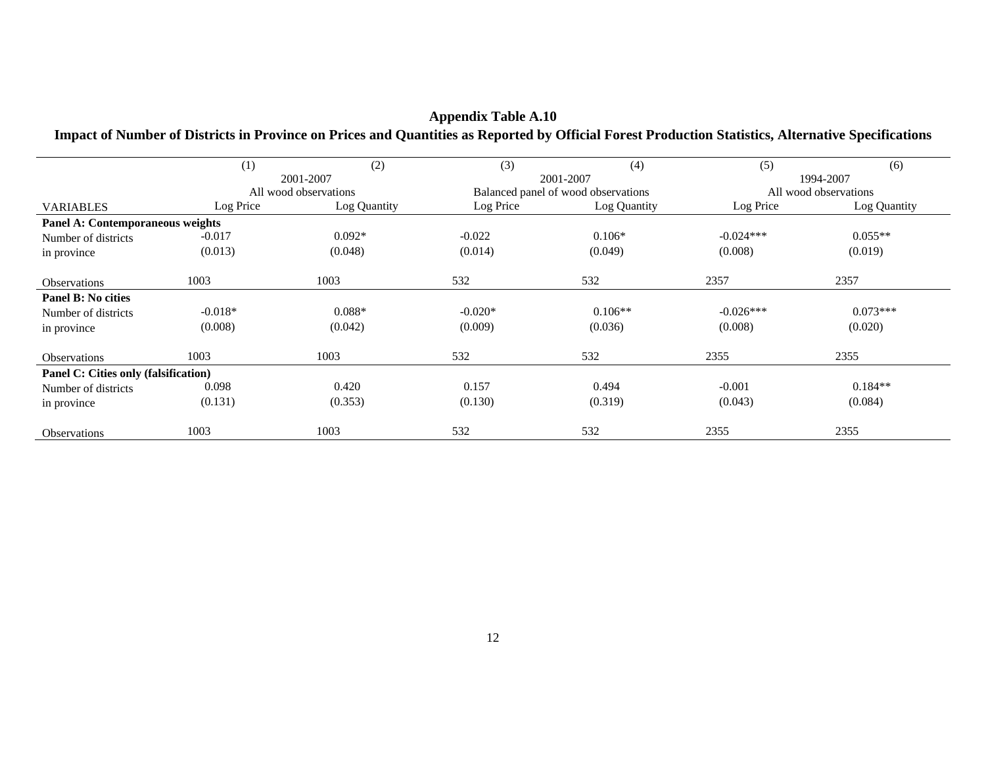|                                      | (1)       | (2)                   | (3)       | (4)                                 | (5)         | (6)                   |
|--------------------------------------|-----------|-----------------------|-----------|-------------------------------------|-------------|-----------------------|
|                                      |           | 2001-2007             |           | 2001-2007                           |             | 1994-2007             |
|                                      |           | All wood observations |           | Balanced panel of wood observations |             | All wood observations |
| <b>VARIABLES</b>                     | Log Price | Log Quantity          | Log Price | Log Quantity                        | Log Price   | Log Quantity          |
| Panel A: Contemporaneous weights     |           |                       |           |                                     |             |                       |
| Number of districts                  | $-0.017$  | $0.092*$              | $-0.022$  | $0.106*$                            | $-0.024***$ | $0.055**$             |
| in province                          | (0.013)   | (0.048)               | (0.014)   | (0.049)                             | (0.008)     | (0.019)               |
|                                      |           |                       |           |                                     |             |                       |
| <b>Observations</b>                  | 1003      | 1003                  | 532       | 532                                 | 2357        | 2357                  |
| Panel B: No cities                   |           |                       |           |                                     |             |                       |
| Number of districts                  | $-0.018*$ | $0.088*$              | $-0.020*$ | $0.106**$                           | $-0.026***$ | $0.073***$            |
| in province                          | (0.008)   | (0.042)               | (0.009)   | (0.036)                             | (0.008)     | (0.020)               |
|                                      |           |                       |           |                                     |             |                       |
| <b>Observations</b>                  | 1003      | 1003                  | 532       | 532                                 | 2355        | 2355                  |
| Panel C: Cities only (falsification) |           |                       |           |                                     |             |                       |
| Number of districts                  | 0.098     | 0.420                 | 0.157     | 0.494                               | $-0.001$    | $0.184**$             |
| in province                          | (0.131)   | (0.353)               | (0.130)   | (0.319)                             | (0.043)     | (0.084)               |
|                                      |           |                       |           |                                     |             |                       |
| <b>Observations</b>                  | 1003      | 1003                  | 532       | 532                                 | 2355        | 2355                  |

# **Appendix Table A.10**

#### **Impact of Number of Districts in Province on Prices and Quantities as Reported by Official Forest Production Statistics, Alternative Specifications**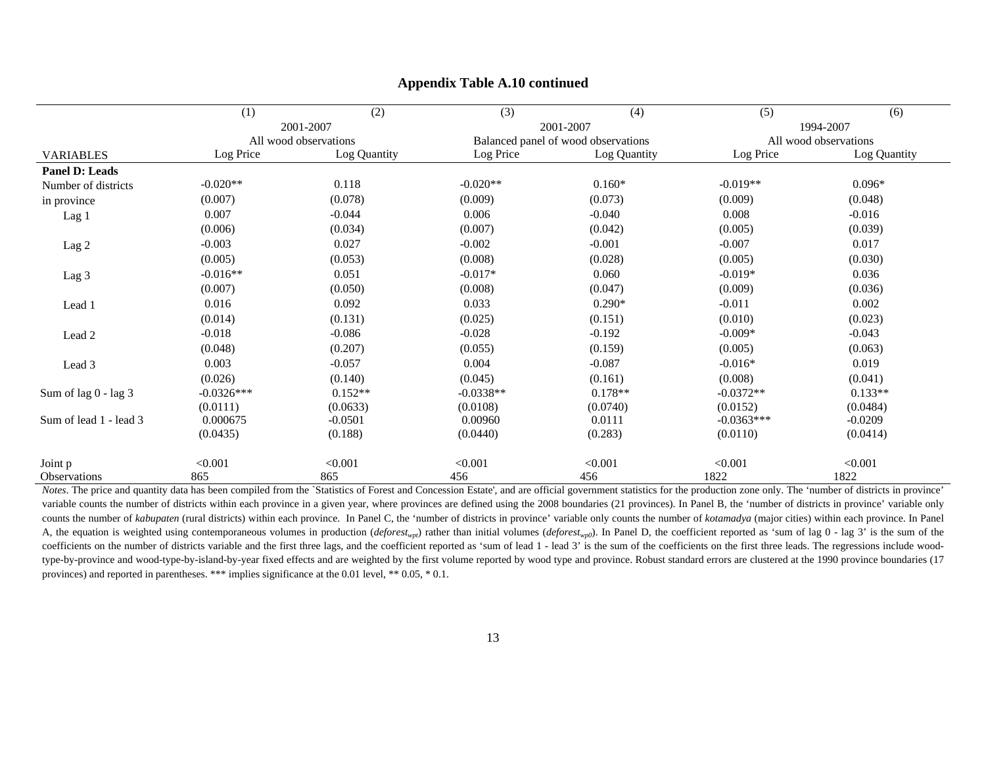|                        | (1)          | (2)                   | (3)         | (4)                                 | (5)          | (6)                   |
|------------------------|--------------|-----------------------|-------------|-------------------------------------|--------------|-----------------------|
|                        |              | 2001-2007             |             | 2001-2007                           |              | 1994-2007             |
|                        |              | All wood observations |             | Balanced panel of wood observations |              | All wood observations |
| <b>VARIABLES</b>       | Log Price    | Log Quantity          | Log Price   | Log Quantity                        | Log Price    | Log Quantity          |
| <b>Panel D: Leads</b>  |              |                       |             |                                     |              |                       |
| Number of districts    | $-0.020**$   | 0.118                 | $-0.020**$  | $0.160*$                            | $-0.019**$   | $0.096*$              |
| in province            | (0.007)      | (0.078)               | (0.009)     | (0.073)                             | (0.009)      | (0.048)               |
| Lag 1                  | 0.007        | $-0.044$              | 0.006       | $-0.040$                            | 0.008        | $-0.016$              |
|                        | (0.006)      | (0.034)               | (0.007)     | (0.042)                             | (0.005)      | (0.039)               |
| Lag 2                  | $-0.003$     | 0.027                 | $-0.002$    | $-0.001$                            | $-0.007$     | 0.017                 |
|                        | (0.005)      | (0.053)               | (0.008)     | (0.028)                             | (0.005)      | (0.030)               |
| Lag 3                  | $-0.016**$   | 0.051                 | $-0.017*$   | 0.060                               | $-0.019*$    | 0.036                 |
|                        | (0.007)      | (0.050)               | (0.008)     | (0.047)                             | (0.009)      | (0.036)               |
| Lead 1                 | 0.016        | 0.092                 | 0.033       | $0.290*$                            | $-0.011$     | 0.002                 |
|                        | (0.014)      | (0.131)               | (0.025)     | (0.151)                             | (0.010)      | (0.023)               |
| Lead 2                 | $-0.018$     | $-0.086$              | $-0.028$    | $-0.192$                            | $-0.009*$    | $-0.043$              |
|                        | (0.048)      | (0.207)               | (0.055)     | (0.159)                             | (0.005)      | (0.063)               |
| Lead 3                 | 0.003        | $-0.057$              | 0.004       | $-0.087$                            | $-0.016*$    | 0.019                 |
|                        | (0.026)      | (0.140)               | (0.045)     | (0.161)                             | (0.008)      | (0.041)               |
| Sum of lag 0 - lag 3   | $-0.0326***$ | $0.152**$             | $-0.0338**$ | $0.178**$                           | $-0.0372**$  | $0.133**$             |
|                        | (0.0111)     | (0.0633)              | (0.0108)    | (0.0740)                            | (0.0152)     | (0.0484)              |
| Sum of lead 1 - lead 3 | 0.000675     | $-0.0501$             | 0.00960     | 0.0111                              | $-0.0363***$ | $-0.0209$             |
|                        | (0.0435)     | (0.188)               | (0.0440)    | (0.283)                             | (0.0110)     | (0.0414)              |
| Joint p                | < 0.001      | < 0.001               | < 0.001     | < 0.001                             | < 0.001      | < 0.001               |
| Observations           | 865          | 865                   | 456         | 456                                 | 1822         | 1822                  |

#### **Appendix Table A.10 continued**

*Notes*. The price and quantity data has been compiled from the `Statistics of Forest and Concession Estate', and are official government statistics for the production zone only. The 'number of districts in province' variable counts the number of districts within each province in a given year, where provinces are defined using the 2008 boundaries (21 provinces). In Panel B, the 'number of districts in province' variable only counts the number of kabupaten (rural districts) within each province. In Panel C, the 'number of districts in province' variable only counts the number of kotamadya (major cities) within each province. In Panel A, the equation is weighted using contemporaneous volumes in production (*deforest<sub>wpt</sub>*) rather than initial volumes (*deforest<sub>wp0</sub>*). In Panel D, the coefficient reported as 'sum of lag 0 - lag 3' is the sum of the coefficients on the number of districts variable and the first three lags, and the coefficient reported as 'sum of lead 1 - lead 3' is the sum of the coefficients on the first three leads. The regressions include woodtype-by-province and wood-type-by-island-by-year fixed effects and are weighted by the first volume reported by wood type and province. Robust standard errors are clustered at the 1990 province boundaries (17 provinces) and reported in parentheses. \*\*\* implies significance at the 0.01 level, \*\* 0.05, \* 0.1.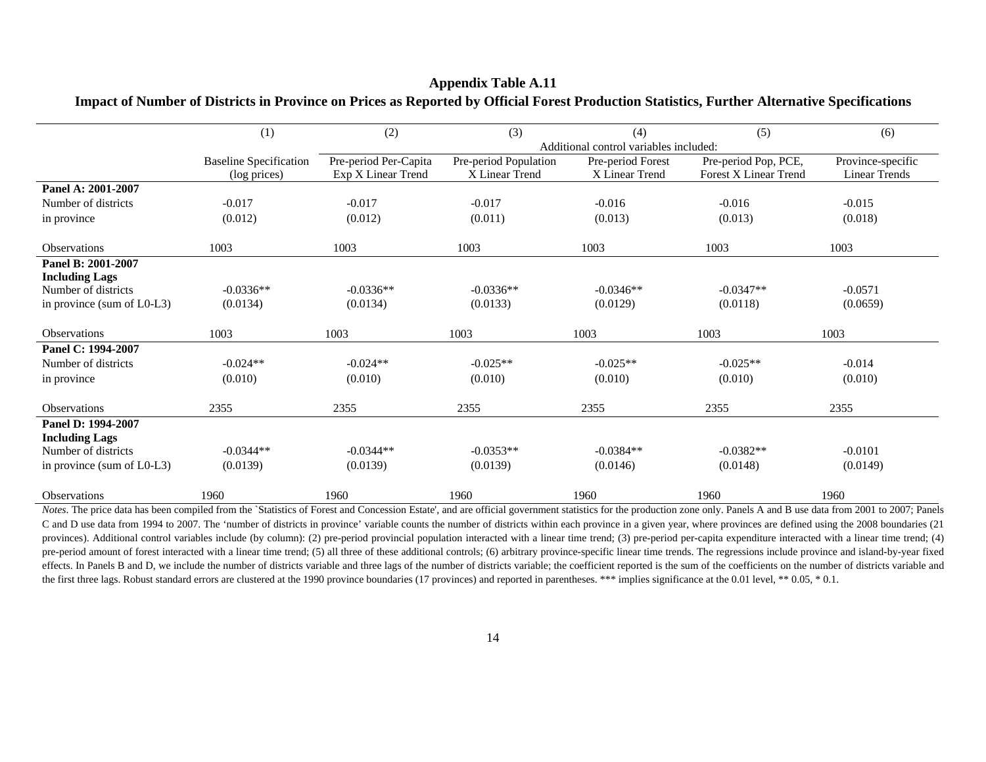|                            | (1)                                           | (2)                                         | (3)                                     | (4)                                    | (5)                                                  | (6)                                       |
|----------------------------|-----------------------------------------------|---------------------------------------------|-----------------------------------------|----------------------------------------|------------------------------------------------------|-------------------------------------------|
|                            |                                               |                                             |                                         | Additional control variables included: |                                                      |                                           |
|                            | <b>Baseline Specification</b><br>(log prices) | Pre-period Per-Capita<br>Exp X Linear Trend | Pre-period Population<br>X Linear Trend | Pre-period Forest<br>X Linear Trend    | Pre-period Pop, PCE,<br><b>Forest X Linear Trend</b> | Province-specific<br><b>Linear Trends</b> |
| Panel A: 2001-2007         |                                               |                                             |                                         |                                        |                                                      |                                           |
| Number of districts        | $-0.017$                                      | $-0.017$                                    | $-0.017$                                | $-0.016$                               | $-0.016$                                             | $-0.015$                                  |
| in province                | (0.012)                                       | (0.012)                                     | (0.011)                                 | (0.013)                                | (0.013)                                              | (0.018)                                   |
| <b>Observations</b>        | 1003                                          | 1003                                        | 1003                                    | 1003                                   | 1003                                                 | 1003                                      |
| Panel B: 2001-2007         |                                               |                                             |                                         |                                        |                                                      |                                           |
| <b>Including Lags</b>      |                                               |                                             |                                         |                                        |                                                      |                                           |
| Number of districts        | $-0.0336**$                                   | $-0.0336**$                                 | $-0.0336**$                             | $-0.0346**$                            | $-0.0347**$                                          | $-0.0571$                                 |
| in province (sum of L0-L3) | (0.0134)                                      | (0.0134)                                    | (0.0133)                                | (0.0129)                               | (0.0118)                                             | (0.0659)                                  |
| <b>Observations</b>        | 1003                                          | 1003                                        | 1003                                    | 1003                                   | 1003                                                 | 1003                                      |
| Panel C: 1994-2007         |                                               |                                             |                                         |                                        |                                                      |                                           |
| Number of districts        | $-0.024**$                                    | $-0.024**$                                  | $-0.025**$                              | $-0.025**$                             | $-0.025**$                                           | $-0.014$                                  |
| in province                | (0.010)                                       | (0.010)                                     | (0.010)                                 | (0.010)                                | (0.010)                                              | (0.010)                                   |
| <b>Observations</b>        | 2355                                          | 2355                                        | 2355                                    | 2355                                   | 2355                                                 | 2355                                      |
| Panel D: 1994-2007         |                                               |                                             |                                         |                                        |                                                      |                                           |
| <b>Including Lags</b>      |                                               |                                             |                                         |                                        |                                                      |                                           |
| Number of districts        | $-0.0344**$                                   | $-0.0344**$                                 | $-0.0353**$                             | $-0.0384**$                            | $-0.0382**$                                          | $-0.0101$                                 |
| in province (sum of L0-L3) | (0.0139)                                      | (0.0139)                                    | (0.0139)                                | (0.0146)                               | (0.0148)                                             | (0.0149)                                  |
| <b>Observations</b>        | 1960                                          | 1960                                        | 1960                                    | 1960                                   | 1960                                                 | 1960                                      |

#### **Appendix Table A.11 Impact of Number of Districts in Province on Prices as Reported by Official Forest Production Statistics, Further Alternative Specifications**

*Notes*. The price data has been compiled from the `Statistics of Forest and Concession Estate', and are official government statistics for the production zone only. Panels A and B use data from 2001 to 2007; Panels C and D use data from 1994 to 2007. The 'number of districts in province' variable counts the number of districts within each province in a given year, where provinces are defined using the 2008 boundaries (21 provinces). Additional control variables include (by column): (2) pre-period provincial population interacted with a linear time trend; (3) pre-period per-capita expenditure interacted with a linear time trend; (4) pre-period amount of forest interacted with a linear time trend; (5) all three of these additional controls; (6) arbitrary province-specific linear time trends. The regressions include province and island-by-year fixed effects. In Panels B and D, we include the number of districts variable and three lags of the number of districts variable; the coefficient reported is the sum of the coefficients on the number of districts variable and the first three lags. Robust standard errors are clustered at the 1990 province boundaries (17 provinces) and reported in parentheses. \*\*\* implies significance at the 0.01 level, \*\* 0.05, \* 0.1.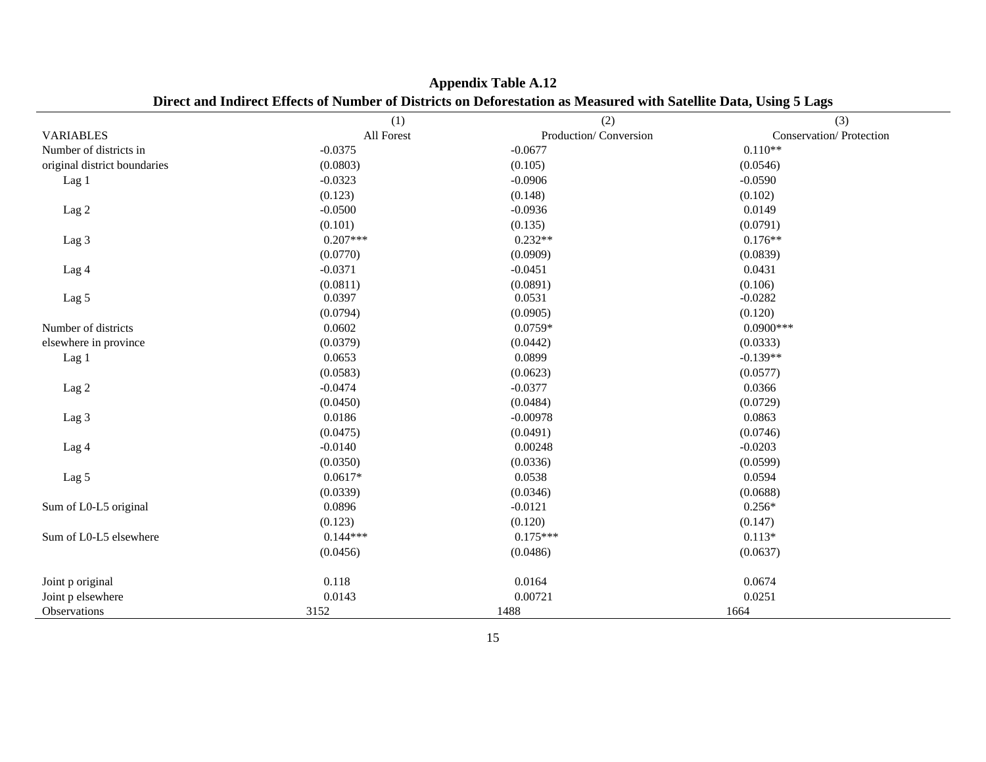|                              | (1)        | (2)                   | ு<br>(3)                |
|------------------------------|------------|-----------------------|-------------------------|
| <b>VARIABLES</b>             | All Forest | Production/Conversion | Conservation/Protection |
| Number of districts in       | $-0.0375$  | $-0.0677$             | $0.110**$               |
| original district boundaries | (0.0803)   | (0.105)               | (0.0546)                |
| Lag 1                        | $-0.0323$  | $-0.0906$             | $-0.0590$               |
|                              | (0.123)    | (0.148)               | (0.102)                 |
| Lag 2                        | $-0.0500$  | $-0.0936$             | 0.0149                  |
|                              | (0.101)    | (0.135)               | (0.0791)                |
| Lag 3                        | $0.207***$ | $0.232**$             | $0.176**$               |
|                              | (0.0770)   | (0.0909)              | (0.0839)                |
| Lag 4                        | $-0.0371$  | $-0.0451$             | 0.0431                  |
|                              | (0.0811)   | (0.0891)              | (0.106)                 |
| Lag 5                        | 0.0397     | 0.0531                | $-0.0282$               |
|                              | (0.0794)   | (0.0905)              | (0.120)                 |
| Number of districts          | 0.0602     | 0.0759*               | $0.0900***$             |
| elsewhere in province        | (0.0379)   | (0.0442)              | (0.0333)                |
| Lag 1                        | 0.0653     | 0.0899                | $-0.139**$              |
|                              | (0.0583)   | (0.0623)              | (0.0577)                |
| Lag 2                        | $-0.0474$  | $-0.0377$             | 0.0366                  |
|                              | (0.0450)   | (0.0484)              | (0.0729)                |
| Lag 3                        | 0.0186     | $-0.00978$            | 0.0863                  |
|                              | (0.0475)   | (0.0491)              | (0.0746)                |
| Lag 4                        | $-0.0140$  | 0.00248               | $-0.0203$               |
|                              | (0.0350)   | (0.0336)              | (0.0599)                |
| Lag 5                        | $0.0617*$  | 0.0538                | 0.0594                  |
|                              | (0.0339)   | (0.0346)              | (0.0688)                |
| Sum of L0-L5 original        | 0.0896     | $-0.0121$             | $0.256*$                |
|                              | (0.123)    | (0.120)               | (0.147)                 |
| Sum of L0-L5 elsewhere       | $0.144***$ | $0.175***$            | $0.113*$                |
|                              | (0.0456)   | (0.0486)              | (0.0637)                |
|                              |            |                       |                         |
| Joint p original             | 0.118      | 0.0164                | 0.0674                  |
| Joint p elsewhere            | 0.0143     | 0.00721               | 0.0251                  |
| Observations                 | 3152       | 1488                  | 1664                    |

**Appendix Table A.12 Direct and Indirect Effects of Number of Districts on Deforestation as Measured with Satellite Data, Using 5 Lags**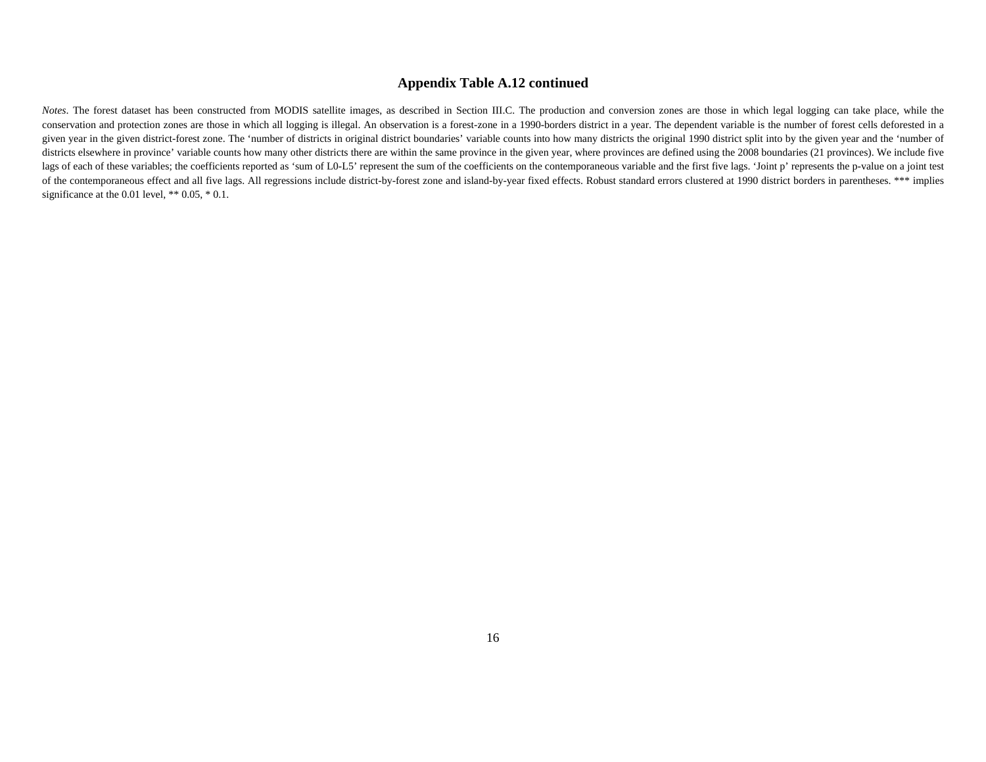#### **Appendix Table A.12 continued**

*Notes*. The forest dataset has been constructed from MODIS satellite images, as described in Section III.C. The production and conversion zones are those in which legal logging can take place, while the conservation and protection zones are those in which all logging is illegal. An observation is a forest-zone in a 1990-borders district in a year. The dependent variable is the number of forest cells deforested in a given year in the given district-forest zone. The 'number of districts in original district boundaries' variable counts into how many districts the original 1990 district split into by the given year and the 'number of districts elsewhere in province' variable counts how many other districts there are within the same province in the given year, where provinces are defined using the 2008 boundaries (21 provinces). We include five lags of each of these variables; the coefficients reported as 'sum of L0-L5' represent the sum of the coefficients on the contemporaneous variable and the first five lags. 'Joint p' represents the p-value on a joint test of the contemporaneous effect and all five lags. All regressions include district-by-forest zone and island-by-year fixed effects. Robust standard errors clustered at 1990 district borders in parentheses. \*\*\* implies significance at the 0.01 level,  $** 0.05, * 0.1$ .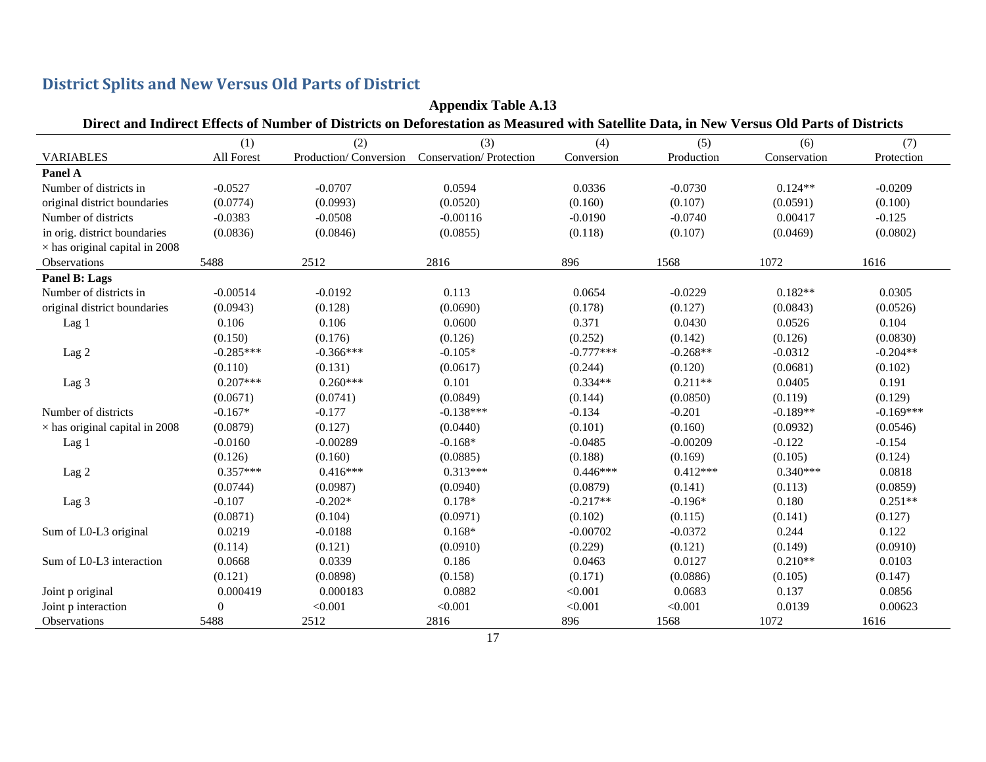| <b>Appendix Table A.13</b>            |             |             |                                                                                                                                           |             |            |              |             |
|---------------------------------------|-------------|-------------|-------------------------------------------------------------------------------------------------------------------------------------------|-------------|------------|--------------|-------------|
|                                       |             |             | Direct and Indirect Effects of Number of Districts on Deforestation as Measured with Satellite Data, in New Versus Old Parts of Districts |             |            |              |             |
|                                       | (1)         | (2)         | (3)                                                                                                                                       | (4)         | (5)        | (6)          | (7)         |
| <b>VARIABLES</b>                      | All Forest  |             | Production/ Conversion Conservation/ Protection                                                                                           | Conversion  | Production | Conservation | Protection  |
| Panel A                               |             |             |                                                                                                                                           |             |            |              |             |
| Number of districts in                | $-0.0527$   | $-0.0707$   | 0.0594                                                                                                                                    | 0.0336      | $-0.0730$  | $0.124**$    | $-0.0209$   |
| original district boundaries          | (0.0774)    | (0.0993)    | (0.0520)                                                                                                                                  | (0.160)     | (0.107)    | (0.0591)     | (0.100)     |
| Number of districts                   | $-0.0383$   | $-0.0508$   | $-0.00116$                                                                                                                                | $-0.0190$   | $-0.0740$  | 0.00417      | $-0.125$    |
| in orig. district boundaries          | (0.0836)    | (0.0846)    | (0.0855)                                                                                                                                  | (0.118)     | (0.107)    | (0.0469)     | (0.0802)    |
| $\times$ has original capital in 2008 |             |             |                                                                                                                                           |             |            |              |             |
| Observations                          | 5488        | 2512        | 2816                                                                                                                                      | 896         | 1568       | 1072         | 1616        |
| Panel B: Lags                         |             |             |                                                                                                                                           |             |            |              |             |
| Number of districts in                | $-0.00514$  | $-0.0192$   | 0.113                                                                                                                                     | 0.0654      | $-0.0229$  | $0.182**$    | 0.0305      |
| original district boundaries          | (0.0943)    | (0.128)     | (0.0690)                                                                                                                                  | (0.178)     | (0.127)    | (0.0843)     | (0.0526)    |
| Lag 1                                 | 0.106       | 0.106       | 0.0600                                                                                                                                    | 0.371       | 0.0430     | 0.0526       | 0.104       |
|                                       | (0.150)     | (0.176)     | (0.126)                                                                                                                                   | (0.252)     | (0.142)    | (0.126)      | (0.0830)    |
| Lag <sub>2</sub>                      | $-0.285***$ | $-0.366***$ | $-0.105*$                                                                                                                                 | $-0.777***$ | $-0.268**$ | $-0.0312$    | $-0.204**$  |
|                                       | (0.110)     | (0.131)     | (0.0617)                                                                                                                                  | (0.244)     | (0.120)    | (0.0681)     | (0.102)     |
| Lag 3                                 | $0.207***$  | $0.260***$  | 0.101                                                                                                                                     | $0.334**$   | $0.211**$  | 0.0405       | 0.191       |
|                                       | (0.0671)    | (0.0741)    | (0.0849)                                                                                                                                  | (0.144)     | (0.0850)   | (0.119)      | (0.129)     |
| Number of districts                   | $-0.167*$   | $-0.177$    | $-0.138***$                                                                                                                               | $-0.134$    | $-0.201$   | $-0.189**$   | $-0.169***$ |
| $\times$ has original capital in 2008 | (0.0879)    | (0.127)     | (0.0440)                                                                                                                                  | (0.101)     | (0.160)    | (0.0932)     | (0.0546)    |
| Lag 1                                 | $-0.0160$   | $-0.00289$  | $-0.168*$                                                                                                                                 | $-0.0485$   | $-0.00209$ | $-0.122$     | $-0.154$    |
|                                       | (0.126)     | (0.160)     | (0.0885)                                                                                                                                  | (0.188)     | (0.169)    | (0.105)      | (0.124)     |
| Lag <sub>2</sub>                      | $0.357***$  | $0.416***$  | $0.313***$                                                                                                                                | $0.446***$  | $0.412***$ | $0.340***$   | 0.0818      |
|                                       | (0.0744)    | (0.0987)    | (0.0940)                                                                                                                                  | (0.0879)    | (0.141)    | (0.113)      | (0.0859)    |
| Lag 3                                 | $-0.107$    | $-0.202*$   | 0.178*                                                                                                                                    | $-0.217**$  | $-0.196*$  | 0.180        | $0.251**$   |
|                                       | (0.0871)    | (0.104)     | (0.0971)                                                                                                                                  | (0.102)     | (0.115)    | (0.141)      | (0.127)     |
| Sum of L0-L3 original                 | 0.0219      | $-0.0188$   | $0.168*$                                                                                                                                  | $-0.00702$  | $-0.0372$  | 0.244        | 0.122       |
|                                       | (0.114)     | (0.121)     | (0.0910)                                                                                                                                  | (0.229)     | (0.121)    | (0.149)      | (0.0910)    |
| Sum of L0-L3 interaction              | 0.0668      | 0.0339      | 0.186                                                                                                                                     | 0.0463      | 0.0127     | $0.210**$    | 0.0103      |
|                                       | (0.121)     | (0.0898)    | (0.158)                                                                                                                                   | (0.171)     | (0.0886)   | (0.105)      | (0.147)     |
| Joint p original                      | 0.000419    | 0.000183    | 0.0882                                                                                                                                    | < 0.001     | 0.0683     | 0.137        | 0.0856      |
| Joint p interaction                   | 0           | < 0.001     | < 0.001                                                                                                                                   | < 0.001     | < 0.001    | 0.0139       | 0.00623     |
| Observations                          | 5488        | 2512        | 2816                                                                                                                                      | 896         | 1568       | 1072         | 1616        |

#### **District Splits and New Versus Old Parts of District**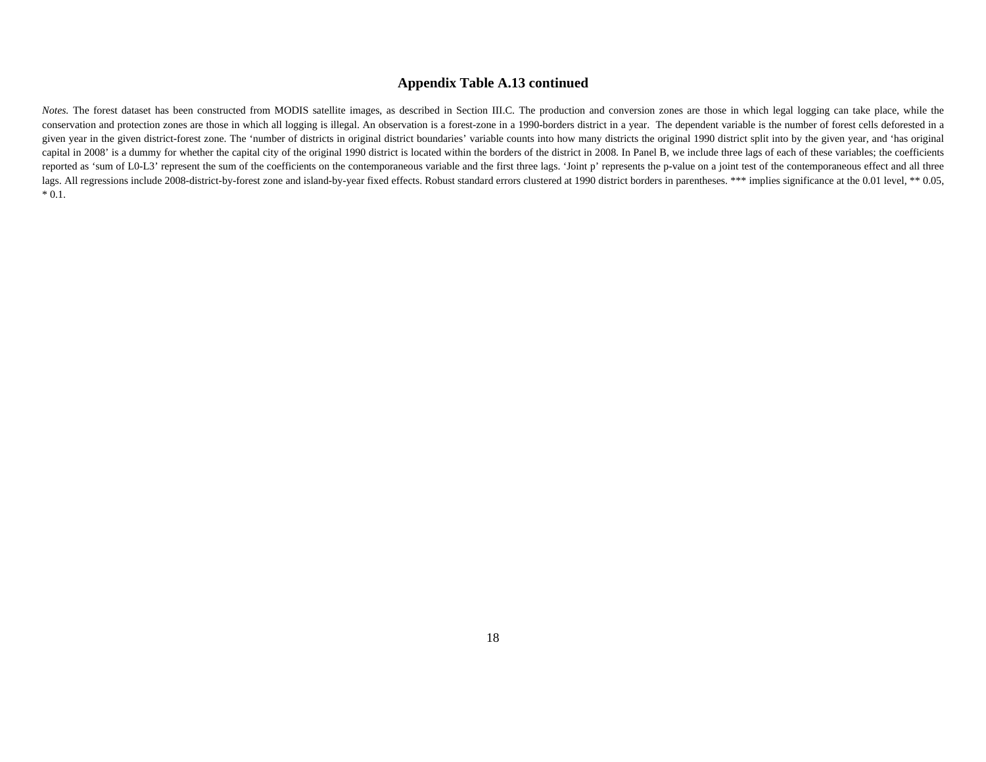#### **Appendix Table A.13 continued**

*Notes*. The forest dataset has been constructed from MODIS satellite images, as described in Section III.C. The production and conversion zones are those in which legal logging can take place, while the conservation and protection zones are those in which all logging is illegal. An observation is a forest-zone in a 1990-borders district in a year. The dependent variable is the number of forest cells deforested in a given year in the given district-forest zone. The 'number of districts in original district boundaries' variable counts into how many districts the original 1990 district split into by the given year, and 'has original capital in 2008' is a dummy for whether the capital city of the original 1990 district is located within the borders of the district in 2008. In Panel B, we include three lags of each of these variables; the coefficients reported as 'sum of L0-L3' represent the sum of the coefficients on the contemporaneous variable and the first three lags. 'Joint p' represents the p-value on a joint test of the contemporaneous effect and all three lags. All regressions include 2008-district-by-forest zone and island-by-year fixed effects. Robust standard errors clustered at 1990 district borders in parentheses. \*\*\* implies significance at the 0.01 level, \*\* 0.05,  $* 0.1.$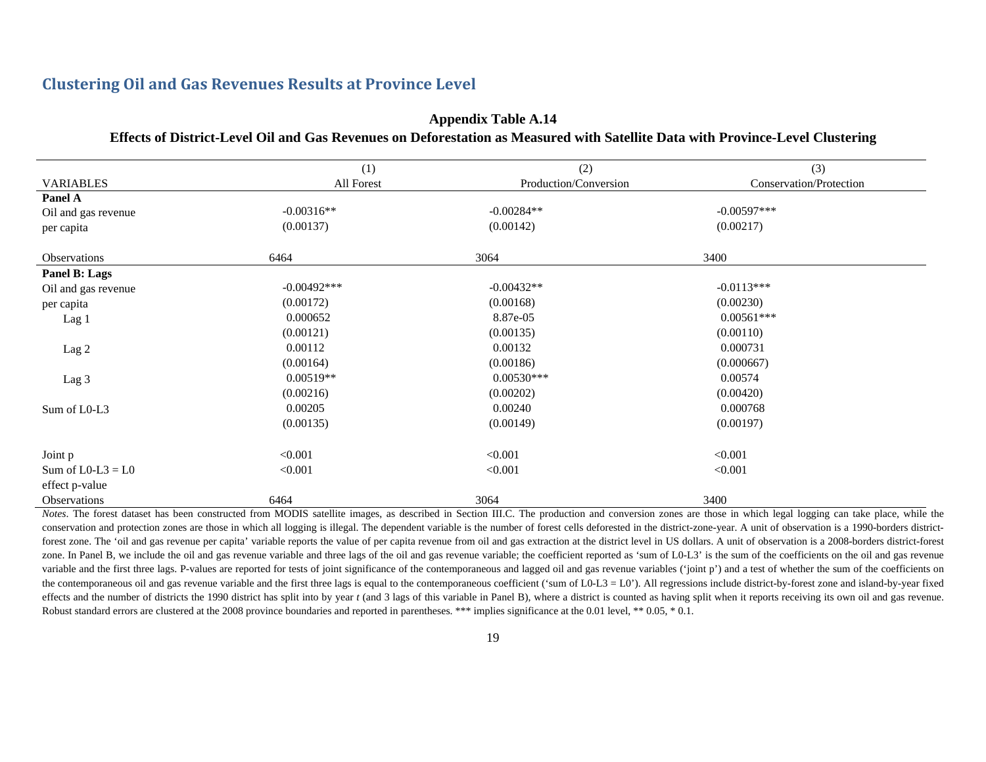### **Clustering Oil and Gas Revenues Results at Province Level**

#### **Appendix Table A.14 Effects of District-Level Oil and Gas Revenues on Deforestation as Measured with Satellite Data with Province-Level Clustering**

|                     | (1)           | (2)                   | (3)                     |
|---------------------|---------------|-----------------------|-------------------------|
| <b>VARIABLES</b>    | All Forest    | Production/Conversion | Conservation/Protection |
| Panel A             |               |                       |                         |
| Oil and gas revenue | $-0.00316**$  | $-0.00284**$          | $-0.00597***$           |
| per capita          | (0.00137)     | (0.00142)             | (0.00217)               |
| <b>Observations</b> | 6464          | 3064                  | 3400                    |
| Panel B: Lags       |               |                       |                         |
| Oil and gas revenue | $-0.00492***$ | $-0.00432**$          | $-0.0113***$            |
| per capita          | (0.00172)     | (0.00168)             | (0.00230)               |
| Lag 1               | 0.000652      | 8.87e-05              | $0.00561***$            |
|                     | (0.00121)     | (0.00135)             | (0.00110)               |
| Lag 2               | 0.00112       | 0.00132               | 0.000731                |
|                     | (0.00164)     | (0.00186)             | (0.000667)              |
| Lag 3               | $0.00519**$   | $0.00530***$          | 0.00574                 |
|                     | (0.00216)     | (0.00202)             | (0.00420)               |
| Sum of L0-L3        | 0.00205       | 0.00240               | 0.000768                |
|                     | (0.00135)     | (0.00149)             | (0.00197)               |
| Joint p             | < 0.001       | < 0.001               | < 0.001                 |
| Sum of $L0-L3 = L0$ | < 0.001       | < 0.001               | < 0.001                 |
| effect p-value      |               |                       |                         |
| <b>Observations</b> | 6464          | 3064                  | 3400                    |

Notes. The forest dataset has been constructed from MODIS satellite images, as described in Section III.C. The production and conversion zones are those in which legal logging can take place, while the conservation and protection zones are those in which all logging is illegal. The dependent variable is the number of forest cells deforested in the district-zone-year. A unit of observation is a 1990-borders districtforest zone. The 'oil and gas revenue per capita' variable reports the value of per capita revenue from oil and gas extraction at the district level in US dollars. A unit of observation is a 2008-borders district-forest zone. In Panel B, we include the oil and gas revenue variable and three lags of the oil and gas revenue variable; the coefficient reported as 'sum of L0-L3' is the sum of the coefficients on the oil and gas revenue variable and the first three lags. P-values are reported for tests of joint significance of the contemporaneous and lagged oil and gas revenue variables ('joint p') and a test of whether the sum of the coefficients on the contemporaneous oil and gas revenue variable and the first three lags is equal to the contemporaneous coefficient ('sum of L0-L3 = L0'). All regressions include district-by-forest zone and island-by-year fixed effects and the number of districts the 1990 district has split into by year t (and 3 lags of this variable in Panel B), where a district is counted as having split when it reports receiving its own oil and gas revenue. Robust standard errors are clustered at the 2008 province boundaries and reported in parentheses. \*\*\* implies significance at the 0.01 level, \*\* 0.05, \* 0.1.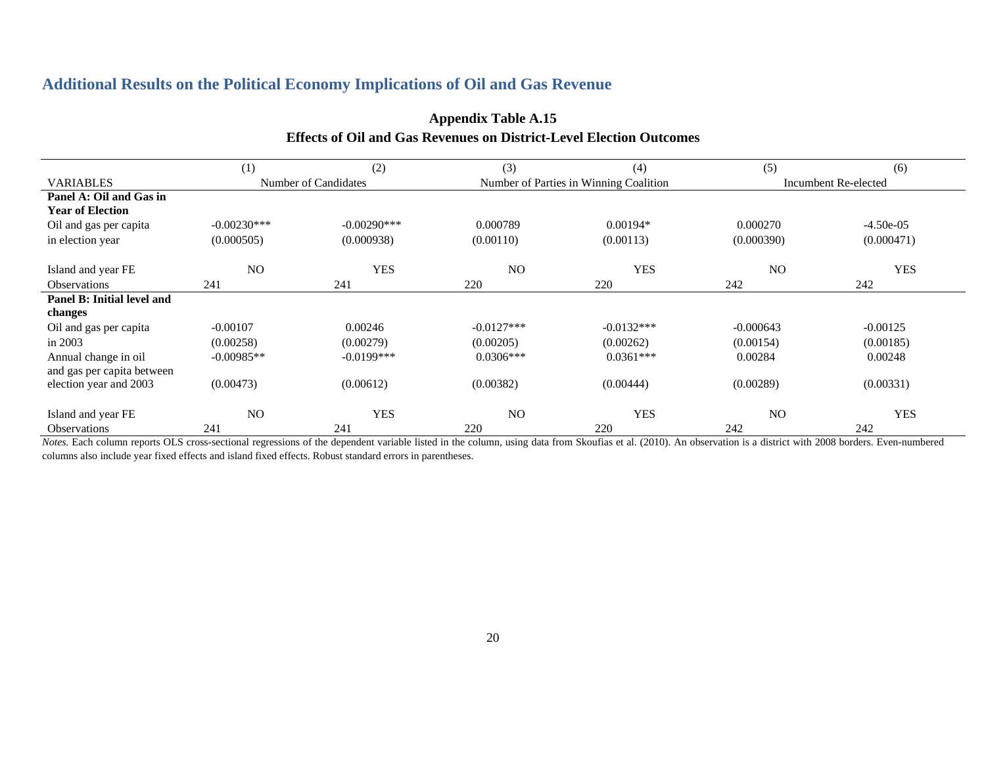### **Additional Results on the Political Economy Implications of Oil and Gas Revenue**

|                            | (1)            | (2)                  | (3)            | (4)                                    | (5)            | (6)                  |
|----------------------------|----------------|----------------------|----------------|----------------------------------------|----------------|----------------------|
| <b>VARIABLES</b>           |                | Number of Candidates |                | Number of Parties in Winning Coalition |                | Incumbent Re-elected |
| Panel A: Oil and Gas in    |                |                      |                |                                        |                |                      |
| <b>Year of Election</b>    |                |                      |                |                                        |                |                      |
| Oil and gas per capita     | $-0.00230***$  | $-0.00290$ ***       | 0.000789       | $0.00194*$                             | 0.000270       | $-4.50e-05$          |
| in election year           | (0.000505)     | (0.000938)           | (0.00110)      | (0.00113)                              | (0.000390)     | (0.000471)           |
| Island and year FE         | N <sub>O</sub> | <b>YES</b>           | N <sub>O</sub> | <b>YES</b>                             | N <sub>O</sub> | <b>YES</b>           |
| <b>Observations</b>        | 241            | 241                  | 220            | 220                                    | 242            | 242                  |
|                            |                |                      |                |                                        |                |                      |
| Panel B: Initial level and |                |                      |                |                                        |                |                      |
| changes                    |                |                      |                |                                        |                |                      |
| Oil and gas per capita     | $-0.00107$     | 0.00246              | $-0.0127***$   | $-0.0132***$                           | $-0.000643$    | $-0.00125$           |
| in 2003                    | (0.00258)      | (0.00279)            | (0.00205)      | (0.00262)                              | (0.00154)      | (0.00185)            |
| Annual change in oil       | $-0.00985**$   | $-0.0199***$         | $0.0306***$    | $0.0361***$                            | 0.00284        | 0.00248              |
| and gas per capita between |                |                      |                |                                        |                |                      |
| election year and 2003     | (0.00473)      | (0.00612)            | (0.00382)      | (0.00444)                              | (0.00289)      | (0.00331)            |
| Island and year FE         | N <sub>O</sub> | <b>YES</b>           | N <sub>O</sub> | <b>YES</b>                             | N <sub>O</sub> | <b>YES</b>           |
| <b>Observations</b>        | 241            | 241                  | 220            | 220                                    | 242            | 242                  |

## **Appendix Table A.15 Effects of Oil and Gas Revenues on District-Level Election Outcomes**

*Notes.* Each column reports OLS cross-sectional regressions of the dependent variable listed in the column, using data from Skoufias et al. (2010). An observation is a district with 2008 borders. Even-numbered columns also include year fixed effects and island fixed effects. Robust standard errors in parentheses.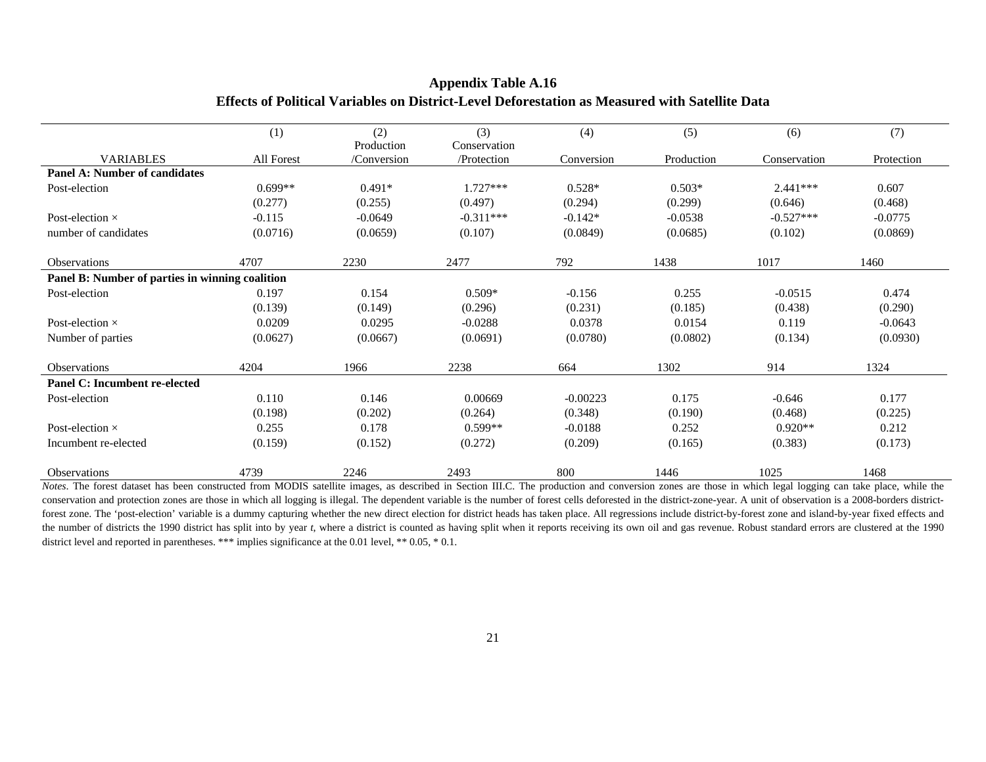|                                                 | (1)        | (2)<br>Production | (3)<br>Conservation | (4)        | (5)        | (6)          | (7)        |
|-------------------------------------------------|------------|-------------------|---------------------|------------|------------|--------------|------------|
| <b>VARIABLES</b>                                | All Forest | /Conversion       | /Protection         | Conversion | Production | Conservation | Protection |
| Panel A: Number of candidates                   |            |                   |                     |            |            |              |            |
| Post-election                                   | $0.699**$  | $0.491*$          | $1.727***$          | $0.528*$   | $0.503*$   | $2.441***$   | 0.607      |
|                                                 | (0.277)    | (0.255)           | (0.497)             | (0.294)    | (0.299)    | (0.646)      | (0.468)    |
| Post-election $\times$                          | $-0.115$   | $-0.0649$         | $-0.311***$         | $-0.142*$  | $-0.0538$  | $-0.527***$  | $-0.0775$  |
| number of candidates                            | (0.0716)   | (0.0659)          | (0.107)             | (0.0849)   | (0.0685)   | (0.102)      | (0.0869)   |
| Observations                                    | 4707       | 2230              | 2477                | 792        | 1438       | 1017         | 1460       |
| Panel B: Number of parties in winning coalition |            |                   |                     |            |            |              |            |
| Post-election                                   | 0.197      | 0.154             | $0.509*$            | $-0.156$   | 0.255      | $-0.0515$    | 0.474      |
|                                                 | (0.139)    | (0.149)           | (0.296)             | (0.231)    | (0.185)    | (0.438)      | (0.290)    |
| Post-election $\times$                          | 0.0209     | 0.0295            | $-0.0288$           | 0.0378     | 0.0154     | 0.119        | $-0.0643$  |
| Number of parties                               | (0.0627)   | (0.0667)          | (0.0691)            | (0.0780)   | (0.0802)   | (0.134)      | (0.0930)   |
| Observations                                    | 4204       | 1966              | 2238                | 664        | 1302       | 914          | 1324       |
| Panel C: Incumbent re-elected                   |            |                   |                     |            |            |              |            |
| Post-election                                   | 0.110      | 0.146             | 0.00669             | $-0.00223$ | 0.175      | $-0.646$     | 0.177      |
|                                                 | (0.198)    | (0.202)           | (0.264)             | (0.348)    | (0.190)    | (0.468)      | (0.225)    |
| Post-election $\times$                          | 0.255      | 0.178             | $0.599**$           | $-0.0188$  | 0.252      | $0.920**$    | 0.212      |
| Incumbent re-elected                            | (0.159)    | (0.152)           | (0.272)             | (0.209)    | (0.165)    | (0.383)      | (0.173)    |
| Observations                                    | 4739       | 2246              | 2493                | 800        | 1446       | 1025         | 1468       |

#### **Appendix Table A.16 Effects of Political Variables on District-Level Deforestation as Measured with Satellite Data**

ц.

 *Notes*. The forest dataset has been constructed from MODIS satellite images, as described in Section III.C. The production and conversion zones are those in which legal logging can take place, while the conservation and protection zones are those in which all logging is illegal. The dependent variable is the number of forest cells deforested in the district-zone-year. A unit of observation is a 2008-borders districtforest zone. The 'post-election' variable is a dummy capturing whether the new direct election for district heads has taken place. All regressions include district-by-forest zone and island-by-year fixed effects and the number of districts the 1990 district has split into by year *t*, where a district is counted as having split when it reports receiving its own oil and gas revenue. Robust standard errors are clustered at the 1990 district level and reported in parentheses. \*\*\* implies significance at the 0.01 level, \*\* 0.05, \* 0.1.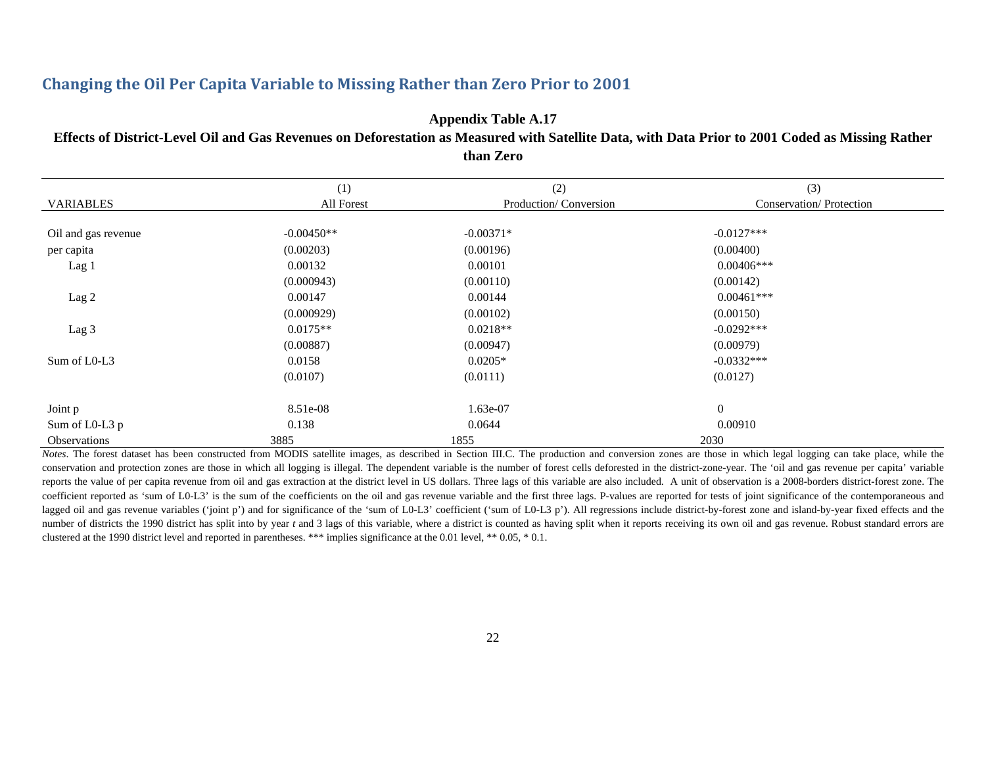### **Changing the Oil Per Capita Variable to Missing Rather than Zero Prior to 2001**

**Appendix Table A.17 Effects of District-Level Oil and Gas Revenues on Deforestation as Measured with Satellite Data, with Data Prior to 2001 Coded as Missing Rather than Zero** 

|                     | (1)          | (2)                   | (3)                     |
|---------------------|--------------|-----------------------|-------------------------|
| <b>VARIABLES</b>    | All Forest   | Production/Conversion | Conservation/Protection |
|                     |              |                       |                         |
| Oil and gas revenue | $-0.00450**$ | $-0.00371*$           | $-0.0127***$            |
| per capita          | (0.00203)    | (0.00196)             | (0.00400)               |
| Lag 1               | 0.00132      | 0.00101               | $0.00406***$            |
|                     | (0.000943)   | (0.00110)             | (0.00142)               |
| Lag 2               | 0.00147      | 0.00144               | $0.00461***$            |
|                     | (0.000929)   | (0.00102)             | (0.00150)               |
| Lag 3               | $0.0175**$   | $0.0218**$            | $-0.0292***$            |
|                     | (0.00887)    | (0.00947)             | (0.00979)               |
| Sum of L0-L3        | 0.0158       | $0.0205*$             | $-0.0332***$            |
|                     | (0.0107)     | (0.0111)              | (0.0127)                |
| Joint p             | 8.51e-08     | 1.63e-07              | $\boldsymbol{0}$        |
| Sum of L0-L3 p      | 0.138        | 0.0644                | 0.00910                 |
| <b>Observations</b> | 3885         | 1855                  | 2030                    |

*Notes*. The forest dataset has been constructed from MODIS satellite images, as described in Section III.C. The production and conversion zones are those in which legal logging can take place, while the conservation and protection zones are those in which all logging is illegal. The dependent variable is the number of forest cells deforested in the district-zone-year. The 'oil and gas revenue per capita' variable reports the value of per capita revenue from oil and gas extraction at the district level in US dollars. Three lags of this variable are also included. A unit of observation is a 2008-borders district-forest zone. The coefficient reported as 'sum of L0-L3' is the sum of the coefficients on the oil and gas revenue variable and the first three lags. P-values are reported for tests of joint significance of the contemporaneous and lagged oil and gas revenue variables ('joint p') and for significance of the 'sum of L0-L3' coefficient ('sum of L0-L3 p'). All regressions include district-by-forest zone and island-by-year fixed effects and the number of districts the 1990 district has split into by year *t* and 3 lags of this variable, where a district is counted as having split when it reports receiving its own oil and gas revenue. Robust standard errors are clustered at the 1990 district level and reported in parentheses. \*\*\* implies significance at the 0.01 level, \*\* 0.05, \* 0.1.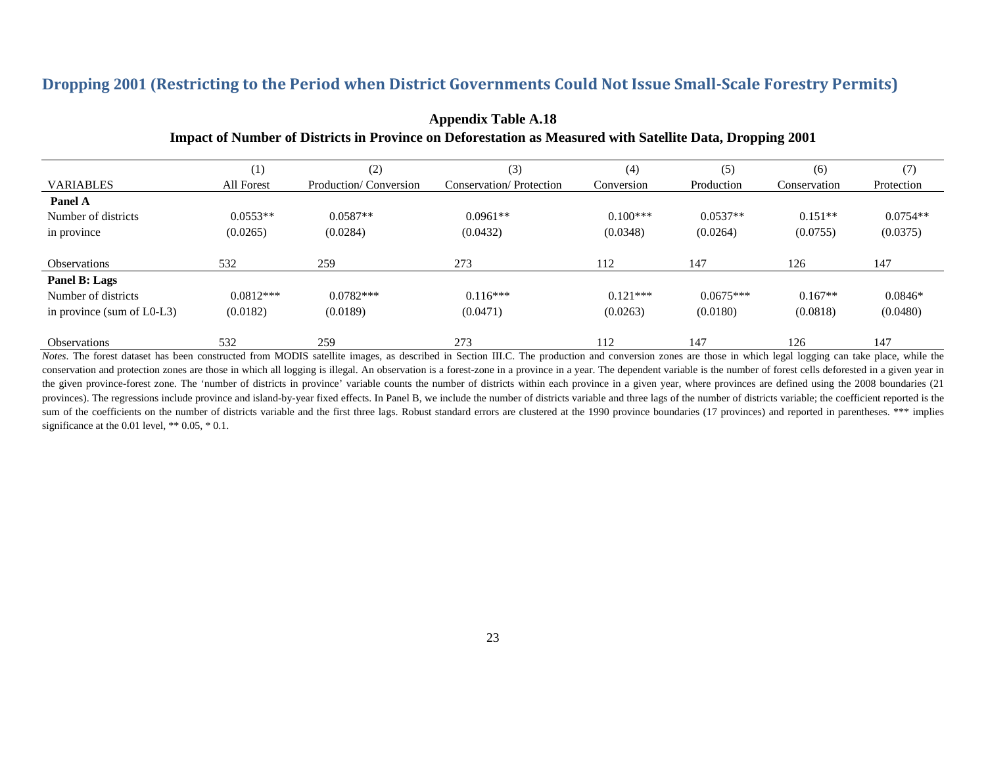### **Dropping 2001 (Restricting to the Period when District Governments Could Not Issue Small‐Scale Forestry Permits)**

|                               | $_{(1)}$    | (2)                   | (3)                     | (4)        | (5)         | (6)          | (7)        |
|-------------------------------|-------------|-----------------------|-------------------------|------------|-------------|--------------|------------|
| <b>VARIABLES</b>              | All Forest  | Production/Conversion | Conservation/Protection | Conversion | Production  | Conservation | Protection |
| Panel A                       |             |                       |                         |            |             |              |            |
| Number of districts           | $0.0553**$  | $0.0587**$            | $0.0961**$              | $0.100***$ | $0.0537**$  | $0.151**$    | $0.0754**$ |
| in province                   | (0.0265)    | (0.0284)              | (0.0432)                | (0.0348)   | (0.0264)    | (0.0755)     | (0.0375)   |
| <b>Observations</b>           | 532         | 259                   | 273                     | 112        | 147         | 126          | 147        |
| Panel B: Lags                 |             |                       |                         |            |             |              |            |
| Number of districts           | $0.0812***$ | $0.0782***$           | $0.116***$              | $0.121***$ | $0.0675***$ | $0.167**$    | $0.0846*$  |
| in province (sum of $L0-L3$ ) | (0.0182)    | (0.0189)              | (0.0471)                | (0.0263)   | (0.0180)    | (0.0818)     | (0.0480)   |
| <b>Observations</b>           | 532         | 259                   | 273                     | 112        | 147         | 126          | 147        |

### **Appendix Table A.18 Impact of Number of Districts in Province on Deforestation as Measured with Satellite Data, Dropping 2001**

 *Notes*. The forest dataset has been constructed from MODIS satellite images, as described in Section III.C. The production and conversion zones are those in which legal logging can take place, while the conservation and protection zones are those in which all logging is illegal. An observation is a forest-zone in a province in a year. The dependent variable is the number of forest cells deforested in a given year in the given province-forest zone. The 'number of districts in province' variable counts the number of districts within each province in a given year, where provinces are defined using the 2008 boundaries (21 provinces). The regressions include province and island-by-year fixed effects. In Panel B, we include the number of districts variable and three lags of the number of districts variable; the coefficient reported is the sum of the coefficients on the number of districts variable and the first three lags. Robust standard errors are clustered at the 1990 province boundaries (17 provinces) and reported in parentheses. \*\*\* implies significance at the 0.01 level, \*\* 0.05, \* 0.1.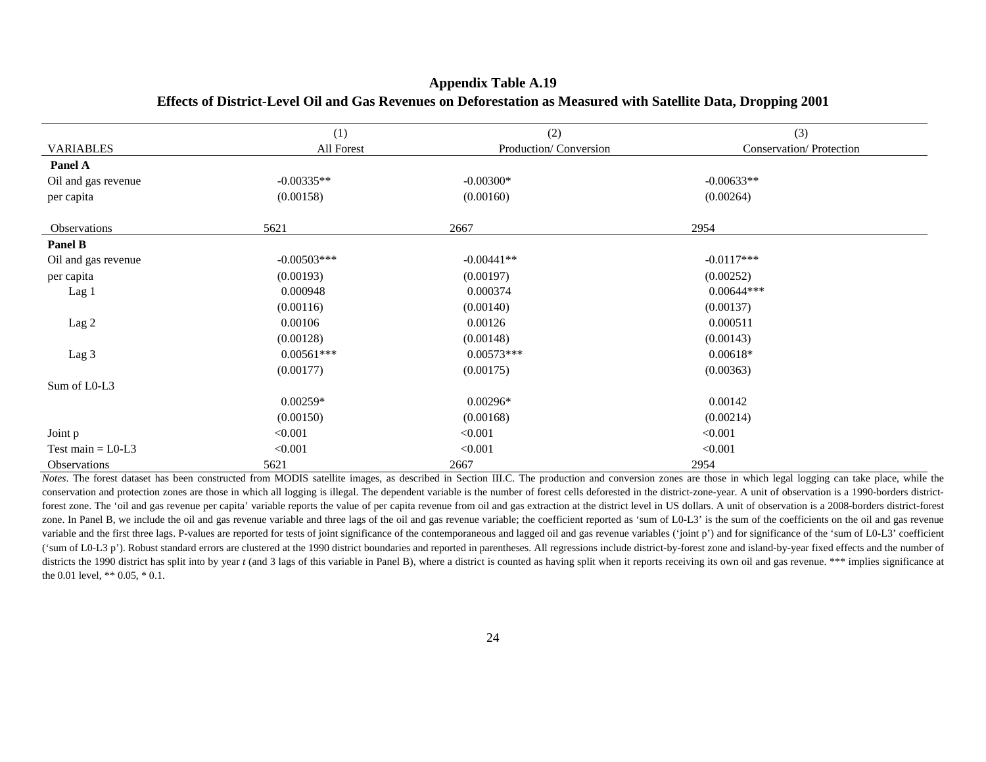|                     | (1)           | (2)                   | (3)                     |
|---------------------|---------------|-----------------------|-------------------------|
| <b>VARIABLES</b>    | All Forest    | Production/Conversion | Conservation/Protection |
| Panel A             |               |                       |                         |
| Oil and gas revenue | $-0.00335**$  | $-0.00300*$           | $-0.00633**$            |
| per capita          | (0.00158)     | (0.00160)             | (0.00264)               |
| Observations        | 5621          | 2667                  | 2954                    |
| Panel B             |               |                       |                         |
| Oil and gas revenue | $-0.00503***$ | $-0.00441**$          | $-0.0117***$            |
| per capita          | (0.00193)     | (0.00197)             | (0.00252)               |
| Lag 1               | 0.000948      | 0.000374              | $0.00644***$            |
|                     | (0.00116)     | (0.00140)             | (0.00137)               |
| Lag 2               | 0.00106       | 0.00126               | 0.000511                |
|                     | (0.00128)     | (0.00148)             | (0.00143)               |
| Lag 3               | $0.00561***$  | $0.00573***$          | $0.00618*$              |
|                     | (0.00177)     | (0.00175)             | (0.00363)               |
| Sum of L0-L3        |               |                       |                         |
|                     | $0.00259*$    | $0.00296*$            | 0.00142                 |
|                     | (0.00150)     | (0.00168)             | (0.00214)               |
| Joint p             | < 0.001       | < 0.001               | < 0.001                 |
| Test main $=$ L0-L3 | < 0.001       | < 0.001               | < 0.001                 |
| <b>Observations</b> | 5621          | 2667                  | 2954                    |

#### **Appendix Table A.19 Effects of District-Level Oil and Gas Revenues on Deforestation as Measured with Satellite Data, Dropping 2001**

*Notes*. The forest dataset has been constructed from MODIS satellite images, as described in Section III.C. The production and conversion zones are those in which legal logging can take place, while the conservation and protection zones are those in which all logging is illegal. The dependent variable is the number of forest cells deforested in the district-zone-year. A unit of observation is a 1990-borders districtforest zone. The 'oil and gas revenue per capita' variable reports the value of per capita revenue from oil and gas extraction at the district level in US dollars. A unit of observation is a 2008-borders district-forest zone. In Panel B, we include the oil and gas revenue variable and three lags of the oil and gas revenue variable; the coefficient reported as 'sum of L0-L3' is the sum of the coefficients on the oil and gas revenue variable and the first three lags. P-values are reported for tests of joint significance of the contemporaneous and lagged oil and gas revenue variables ('joint p') and for significance of the 'sum of L0-L3' coefficient ('sum of L0-L3 p'). Robust standard errors are clustered at the 1990 district boundaries and reported in parentheses. All regressions include district-by-forest zone and island-by-year fixed effects and the number of districts the 1990 district has split into by year t (and 3 lags of this variable in Panel B), where a district is counted as having split when it reports receiving its own oil and gas revenue. \*\*\* implies significance at the 0.01 level, \*\* 0.05, \* 0.1.